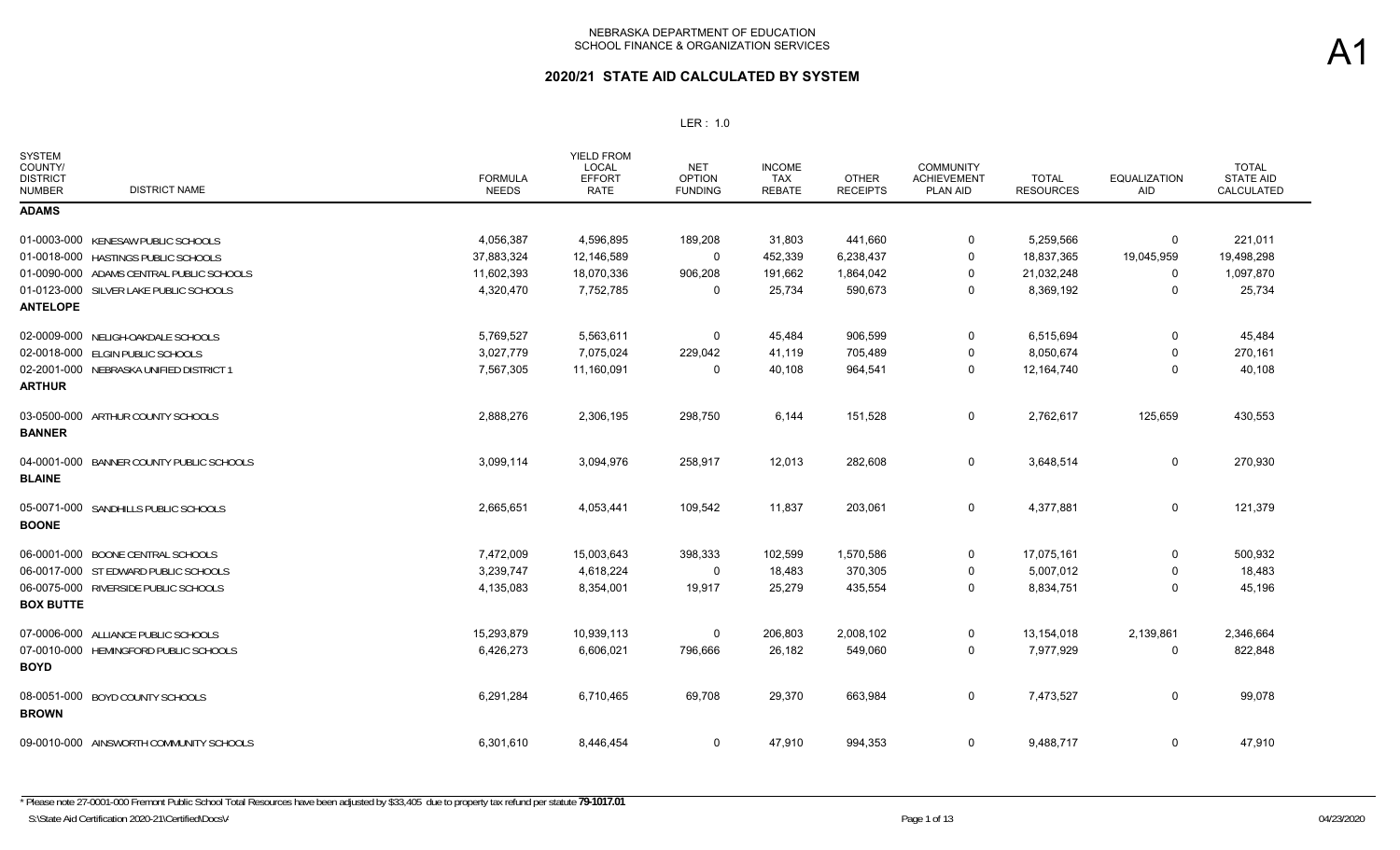| <b>SYSTEM</b><br>COUNTY/<br><b>DISTRICT</b><br><b>DISTRICT NAME</b><br><b>NUMBER</b> | <b>FORMULA</b><br><b>NEEDS</b> | <b>YIELD FROM</b><br><b>LOCAL</b><br><b>EFFORT</b><br><b>RATE</b> | <b>NET</b><br><b>OPTION</b><br><b>FUNDING</b> | <b>INCOME</b><br><b>TAX</b><br><b>REBATE</b> | <b>OTHER</b><br><b>RECEIPTS</b> | <b>COMMUNITY</b><br><b>ACHIEVEMENT</b><br>PLAN AID | <b>TOTAL</b><br><b>RESOURCES</b> | <b>EQUALIZATION</b><br>AID | <b>TOTAL</b><br><b>STATE AID</b><br>CALCULATED |
|--------------------------------------------------------------------------------------|--------------------------------|-------------------------------------------------------------------|-----------------------------------------------|----------------------------------------------|---------------------------------|----------------------------------------------------|----------------------------------|----------------------------|------------------------------------------------|
| <b>ADAMS</b>                                                                         |                                |                                                                   |                                               |                                              |                                 |                                                    |                                  |                            |                                                |
| 01-0003-000 KENESAW PUBLIC SCHOOLS                                                   | 4,056,387                      | 4,596,895                                                         | 189,208                                       | 31,803                                       | 441,660                         | 0                                                  | 5,259,566                        | 0                          | 221,011                                        |
| 01-0018-000 HASTINGS PUBLIC SCHOOLS                                                  | 37,883,324                     | 12,146,589                                                        | 0                                             | 452,339                                      | 6,238,437                       | 0                                                  | 18,837,365                       | 19,045,959                 | 19,498,298                                     |
| 01-0090-000 ADAMS CENTRAL PUBLIC SCHOOLS                                             | 11,602,393                     | 18,070,336                                                        | 906,208                                       | 191,662                                      | 1,864,042                       | 0                                                  | 21,032,248                       | 0                          | 1,097,870                                      |
| 01-0123-000 SILVER LAKE PUBLIC SCHOOLS<br><b>ANTELOPE</b>                            | 4,320,470                      | 7,752,785                                                         | 0                                             | 25,734                                       | 590,673                         | 0                                                  | 8,369,192                        | 0                          | 25,734                                         |
| 02-0009-000 NELIGH-OAKDALE SCHOOLS                                                   | 5,769,527                      | 5,563,611                                                         | 0                                             | 45,484                                       | 906,599                         | 0                                                  | 6,515,694                        | 0                          | 45,484                                         |
| 02-0018-000 ELGIN PUBLIC SCHOOLS                                                     | 3,027,779                      | 7,075,024                                                         | 229,042                                       | 41,119                                       | 705,489                         | 0                                                  | 8,050,674                        | 0                          | 270,161                                        |
| 02-2001-000 NEBRASKA UNIFIED DISTRICT 1<br><b>ARTHUR</b>                             | 7,567,305                      | 11,160,091                                                        | 0                                             | 40,108                                       | 964,541                         | 0                                                  | 12,164,740                       | 0                          | 40,108                                         |
| 03-0500-000 ARTHUR COUNTY SCHOOLS<br><b>BANNER</b>                                   | 2,888,276                      | 2,306,195                                                         | 298,750                                       | 6,144                                        | 151,528                         | 0                                                  | 2,762,617                        | 125,659                    | 430,553                                        |
| 04-0001-000 BANNER COUNTY PUBLIC SCHOOLS<br><b>BLAINE</b>                            | 3,099,114                      | 3,094,976                                                         | 258,917                                       | 12,013                                       | 282,608                         | 0                                                  | 3,648,514                        | 0                          | 270,930                                        |
| 05-0071-000 SANDHILLS PUBLIC SCHOOLS<br><b>BOONE</b>                                 | 2,665,651                      | 4,053,441                                                         | 109,542                                       | 11,837                                       | 203,061                         | 0                                                  | 4,377,881                        | 0                          | 121,379                                        |
| 06-0001-000 BOONE CENTRAL SCHOOLS                                                    | 7,472,009                      | 15,003,643                                                        | 398,333                                       | 102,599                                      | 1,570,586                       | 0                                                  | 17,075,161                       | 0                          | 500,932                                        |
| 06-0017-000 ST EDWARD PUBLIC SCHOOLS                                                 | 3,239,747                      | 4,618,224                                                         | 0                                             | 18,483                                       | 370,305                         | 0                                                  | 5,007,012                        | 0                          | 18,483                                         |
| 06-0075-000 RIVERSIDE PUBLIC SCHOOLS<br><b>BOX BUTTE</b>                             | 4,135,083                      | 8,354,001                                                         | 19,917                                        | 25,279                                       | 435,554                         | 0                                                  | 8,834,751                        | 0                          | 45,196                                         |
| 07-0006-000 ALLIANCE PUBLIC SCHOOLS                                                  | 15,293,879                     | 10,939,113                                                        | 0                                             | 206,803                                      | 2,008,102                       | 0                                                  | 13,154,018                       | 2,139,861                  | 2,346,664                                      |
| 07-0010-000 HEMINGFORD PUBLIC SCHOOLS<br><b>BOYD</b>                                 | 6,426,273                      | 6,606,021                                                         | 796,666                                       | 26,182                                       | 549,060                         | 0                                                  | 7,977,929                        | 0                          | 822,848                                        |
| 08-0051-000 BOYD COUNTY SCHOOLS<br><b>BROWN</b>                                      | 6,291,284                      | 6,710,465                                                         | 69,708                                        | 29,370                                       | 663,984                         | 0                                                  | 7,473,527                        | 0                          | 99,078                                         |
| 09-0010-000 AINSWORTH COMMUNITY SCHOOLS                                              | 6,301,610                      | 8,446,454                                                         | 0                                             | 47,910                                       | 994,353                         | 0                                                  | 9,488,717                        | 0                          | 47,910                                         |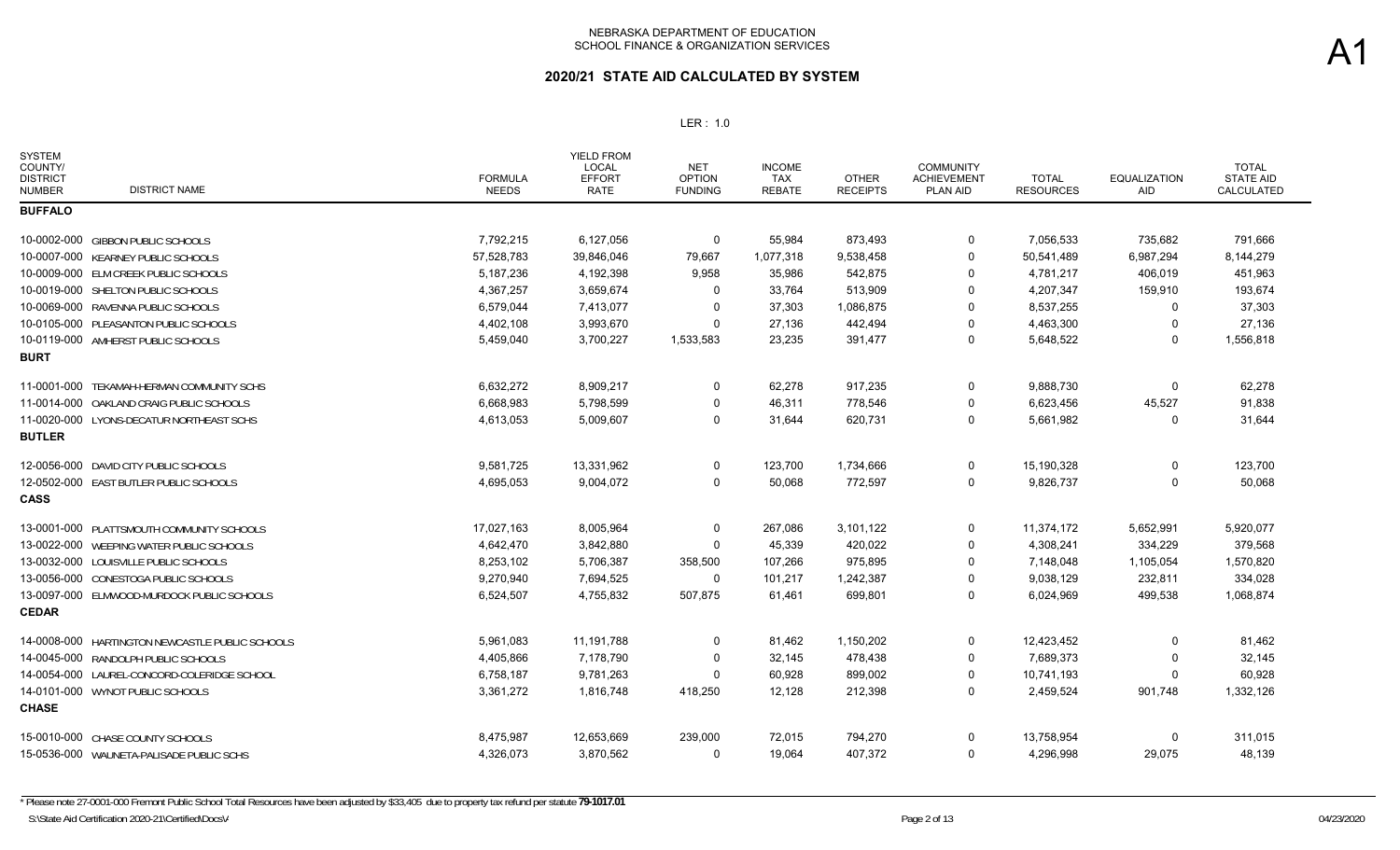| <b>SYSTEM</b><br>COUNTY/<br><b>DISTRICT</b><br><b>DISTRICT NAME</b><br><b>NUMBER</b> | <b>FORMULA</b><br><b>NEEDS</b> | <b>YIELD FROM</b><br>LOCAL<br><b>EFFORT</b><br><b>RATE</b> | <b>NET</b><br><b>OPTION</b><br><b>FUNDING</b> | <b>INCOME</b><br>TAX<br><b>REBATE</b> | <b>OTHER</b><br><b>RECEIPTS</b> | <b>COMMUNITY</b><br><b>ACHIEVEMENT</b><br><b>PLAN AID</b> | <b>TOTAL</b><br><b>RESOURCES</b> | <b>EQUALIZATION</b><br><b>AID</b> | <b>TOTAL</b><br><b>STATE AID</b><br>CALCULATED |
|--------------------------------------------------------------------------------------|--------------------------------|------------------------------------------------------------|-----------------------------------------------|---------------------------------------|---------------------------------|-----------------------------------------------------------|----------------------------------|-----------------------------------|------------------------------------------------|
| <b>BUFFALO</b>                                                                       |                                |                                                            |                                               |                                       |                                 |                                                           |                                  |                                   |                                                |
| 10-0002-000 GIBBON PUBLIC SCHOOLS                                                    | 7,792,215                      | 6,127,056                                                  | 0                                             | 55,984                                | 873,493                         | 0                                                         | 7,056,533                        | 735,682                           | 791,666                                        |
| 10-0007-000 KEARNEY PUBLIC SCHOOLS                                                   | 57,528,783                     | 39,846,046                                                 | 79,667                                        | 1,077,318                             | 9,538,458                       | $\Omega$                                                  | 50,541,489                       | 6,987,294                         | 8,144,279                                      |
| 10-0009-000 ELM CREEK PUBLIC SCHOOLS                                                 | 5,187,236                      | 4,192,398                                                  | 9,958                                         | 35,986                                | 542,875                         | $\Omega$                                                  | 4,781,217                        | 406,019                           | 451,963                                        |
| 10-0019-000 SHELTON PUBLIC SCHOOLS                                                   | 4,367,257                      | 3,659,674                                                  | 0                                             | 33,764                                | 513,909                         | $\Omega$                                                  | 4,207,347                        | 159,910                           | 193,674                                        |
| 10-0069-000 RAVENNA PUBLIC SCHOOLS                                                   | 6,579,044                      | 7,413,077                                                  | 0                                             | 37,303                                | 1,086,875                       | $\Omega$                                                  | 8,537,255                        | 0                                 | 37,303                                         |
| 10-0105-000 PLEASANTON PUBLIC SCHOOLS                                                | 4,402,108                      | 3,993,670                                                  | $\Omega$                                      | 27,136                                | 442,494                         | $\Omega$                                                  | 4,463,300                        | 0                                 | 27,136                                         |
| 10-0119-000 AMHERST PUBLIC SCHOOLS                                                   | 5,459,040                      | 3,700,227                                                  | 1,533,583                                     | 23,235                                | 391,477                         | 0                                                         | 5,648,522                        | 0                                 | 1,556,818                                      |
| <b>BURT</b>                                                                          |                                |                                                            |                                               |                                       |                                 |                                                           |                                  |                                   |                                                |
| 11-0001-000 TEKAMAH-HERMAN COMMUNITY SCHS                                            | 6,632,272                      | 8,909,217                                                  | $\mathbf 0$                                   | 62,278                                | 917,235                         | 0                                                         | 9,888,730                        | $\Omega$                          | 62,278                                         |
| 11-0014-000 OAKLAND CRAIG PUBLIC SCHOOLS                                             | 6,668,983                      | 5,798,599                                                  | 0                                             | 46,311                                | 778,546                         | $\Omega$                                                  | 6,623,456                        | 45,527                            | 91,838                                         |
| 11-0020-000 LYONS-DECATUR NORTHEAST SCHS                                             | 4,613,053                      | 5,009,607                                                  | $\Omega$                                      | 31,644                                | 620,731                         | $\mathbf 0$                                               | 5,661,982                        | $\Omega$                          | 31,644                                         |
| <b>BUTLER</b>                                                                        |                                |                                                            |                                               |                                       |                                 |                                                           |                                  |                                   |                                                |
| 12-0056-000 DAVID CITY PUBLIC SCHOOLS                                                | 9,581,725                      | 13,331,962                                                 | 0                                             | 123,700                               | 1,734,666                       | 0                                                         | 15,190,328                       | 0                                 | 123,700                                        |
| 12-0502-000 EAST BUTLER PUBLIC SCHOOLS                                               | 4,695,053                      | 9,004,072                                                  | 0                                             | 50,068                                | 772,597                         | 0                                                         | 9,826,737                        | 0                                 | 50,068                                         |
| <b>CASS</b>                                                                          |                                |                                                            |                                               |                                       |                                 |                                                           |                                  |                                   |                                                |
| 13-0001-000 PLATTSMOUTH COMMUNITY SCHOOLS                                            | 17,027,163                     | 8,005,964                                                  | 0                                             | 267,086                               | 3,101,122                       | 0                                                         | 11,374,172                       | 5,652,991                         | 5,920,077                                      |
| 13-0022-000 WEEPING WATER PUBLIC SCHOOLS                                             | 4,642,470                      | 3,842,880                                                  | 0                                             | 45,339                                | 420,022                         | -0                                                        | 4,308,241                        | 334,229                           | 379,568                                        |
| 13-0032-000 LOUISVILLE PUBLIC SCHOOLS                                                | 8,253,102                      | 5,706,387                                                  | 358,500                                       | 107,266                               | 975,895                         | $\Omega$                                                  | 7,148,048                        | 1,105,054                         | 1,570,820                                      |
| 13-0056-000 CONESTOGA PUBLIC SCHOOLS                                                 | 9,270,940                      | 7,694,525                                                  | 0                                             | 101,217                               | 1,242,387                       | $\Omega$                                                  | 9,038,129                        | 232,811                           | 334,028                                        |
| 13-0097-000 ELMWOOD-MURDOCK PUBLIC SCHOOLS                                           | 6,524,507                      | 4,755,832                                                  | 507,875                                       | 61.461                                | 699.801                         | $\Omega$                                                  | 6,024,969                        | 499,538                           | 1,068,874                                      |
| <b>CEDAR</b>                                                                         |                                |                                                            |                                               |                                       |                                 |                                                           |                                  |                                   |                                                |
| 14-0008-000 HARTINGTON NEWCASTLE PUBLIC SCHOOLS                                      | 5,961,083                      | 11,191,788                                                 | $\mathbf 0$                                   | 81,462                                | 1,150,202                       | $\Omega$                                                  | 12,423,452                       | $\Omega$                          | 81,462                                         |
| 14-0045-000 RANDOLPH PUBLIC SCHOOLS                                                  | 4,405,866                      | 7,178,790                                                  | 0                                             | 32,145                                | 478,438                         | $\mathbf 0$                                               | 7,689,373                        | 0                                 | 32,145                                         |
| 14-0054-000 LAUREL-CONCORD-COLERIDGE SCHOOL                                          | 6,758,187                      | 9,781,263                                                  | $\Omega$                                      | 60,928                                | 899,002                         | $\Omega$                                                  | 10,741,193                       | $\Omega$                          | 60,928                                         |
| 14-0101-000 WYNOT PUBLIC SCHOOLS                                                     | 3,361,272                      | 1,816,748                                                  | 418,250                                       | 12,128                                | 212,398                         | $\mathbf 0$                                               | 2,459,524                        | 901,748                           | 1,332,126                                      |
| <b>CHASE</b>                                                                         |                                |                                                            |                                               |                                       |                                 |                                                           |                                  |                                   |                                                |
| 15-0010-000 CHASE COUNTY SCHOOLS                                                     | 8,475,987                      | 12,653,669                                                 | 239,000                                       | 72,015                                | 794,270                         | $\Omega$                                                  | 13,758,954                       | 0                                 | 311,015                                        |
| 15-0536-000 WAUNETA-PALISADE PUBLIC SCHS                                             | 4,326,073                      | 3,870,562                                                  | 0                                             | 19,064                                | 407,372                         | 0                                                         | 4,296,998                        | 29,075                            | 48,139                                         |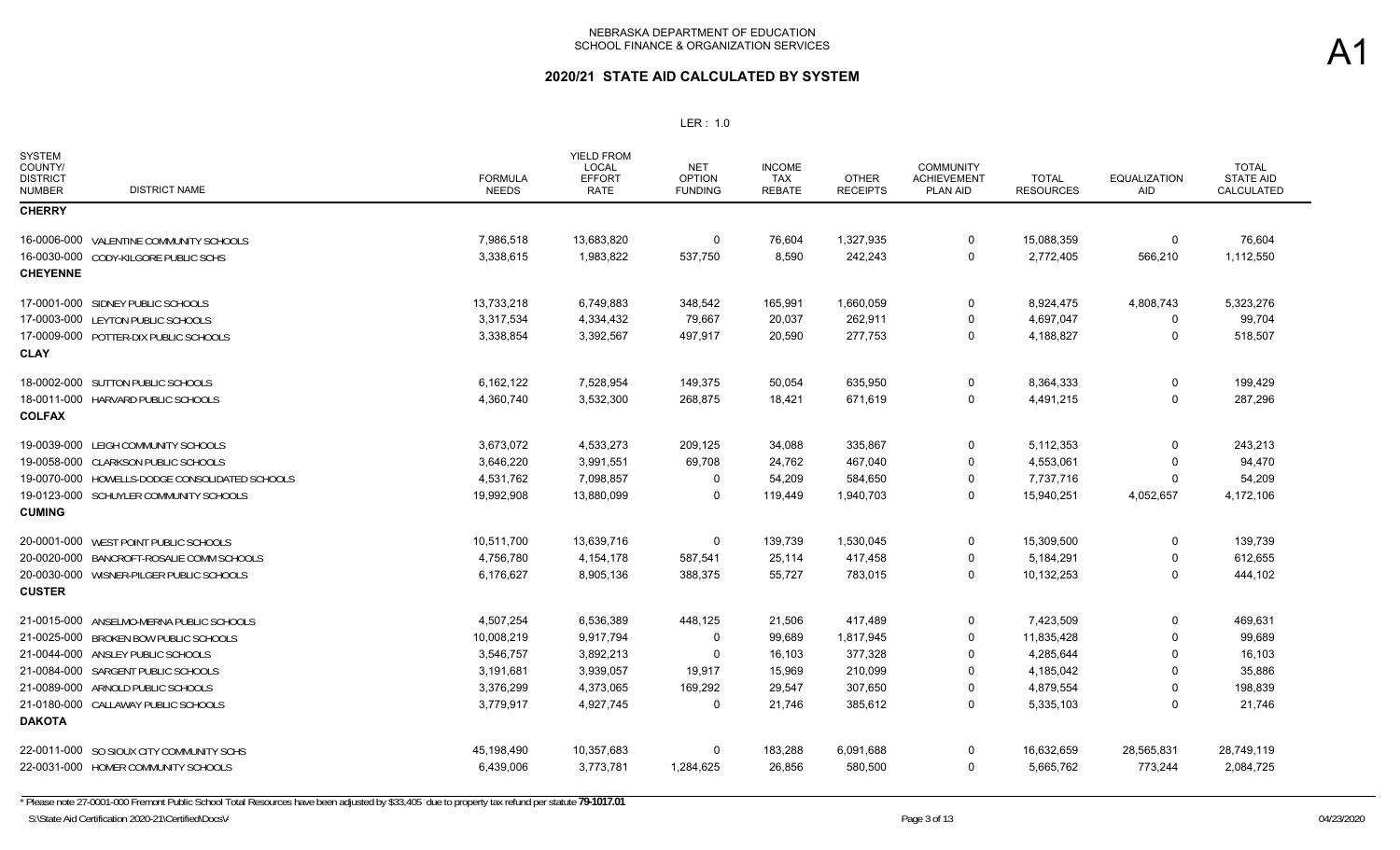## **2020/21 STATE AID CALCULATED BY SYSTEM**

| <b>SYSTEM</b><br>COUNTY/<br><b>DISTRICT</b><br><b>NUMBER</b> | <b>DISTRICT NAME</b>                           | <b>FORMULA</b><br><b>NEEDS</b> | <b>YIELD FROM</b><br><b>LOCAL</b><br><b>EFFORT</b><br><b>RATE</b> | <b>NET</b><br><b>OPTION</b><br><b>FUNDING</b> | <b>INCOME</b><br><b>TAX</b><br><b>REBATE</b> | <b>OTHER</b><br><b>RECEIPTS</b> | <b>COMMUNITY</b><br><b>ACHIEVEMENT</b><br>PLAN AID | <b>TOTAL</b><br><b>RESOURCES</b> | <b>EQUALIZATION</b><br>AID | <b>TOTAL</b><br><b>STATE AID</b><br>CALCULATED |
|--------------------------------------------------------------|------------------------------------------------|--------------------------------|-------------------------------------------------------------------|-----------------------------------------------|----------------------------------------------|---------------------------------|----------------------------------------------------|----------------------------------|----------------------------|------------------------------------------------|
| <b>CHERRY</b>                                                |                                                |                                |                                                                   |                                               |                                              |                                 |                                                    |                                  |                            |                                                |
|                                                              | 16-0006-000 VALENTINE COMMUNITY SCHOOLS        | 7,986,518                      | 13,683,820                                                        | 0                                             | 76,604                                       | 1,327,935                       | 0                                                  | 15,088,359                       | 0                          | 76,604                                         |
|                                                              | 16-0030-000 CODY-KILGORE PUBLIC SCHS           | 3,338,615                      | 1,983,822                                                         | 537,750                                       | 8,590                                        | 242,243                         | $\Omega$                                           | 2,772,405                        | 566,210                    | 1,112,550                                      |
| <b>CHEYENNE</b>                                              |                                                |                                |                                                                   |                                               |                                              |                                 |                                                    |                                  |                            |                                                |
|                                                              | 17-0001-000 SIDNEY PUBLIC SCHOOLS              | 13,733,218                     | 6,749,883                                                         | 348,542                                       | 165,991                                      | 1,660,059                       | 0                                                  | 8,924,475                        | 4,808,743                  | 5,323,276                                      |
|                                                              | 17-0003-000 LEYTON PUBLIC SCHOOLS              | 3,317,534                      | 4,334,432                                                         | 79,667                                        | 20,037                                       | 262,911                         | 0                                                  | 4,697,047                        | $\mathbf 0$                | 99,704                                         |
|                                                              | 17-0009-000 POTTER-DIX PUBLIC SCHOOLS          | 3,338,854                      | 3,392,567                                                         | 497,917                                       | 20,590                                       | 277,753                         | $\Omega$                                           | 4,188,827                        | $\Omega$                   | 518,507                                        |
| <b>CLAY</b>                                                  |                                                |                                |                                                                   |                                               |                                              |                                 |                                                    |                                  |                            |                                                |
|                                                              | 18-0002-000 SUTTON PUBLIC SCHOOLS              | 6,162,122                      | 7,528,954                                                         | 149,375                                       | 50,054                                       | 635,950                         | $\Omega$                                           | 8,364,333                        | 0                          | 199,429                                        |
|                                                              | 18-0011-000 HARVARD PUBLIC SCHOOLS             | 4,360,740                      | 3,532,300                                                         | 268,875                                       | 18,421                                       | 671,619                         | $\mathbf 0$                                        | 4,491,215                        | $\mathbf 0$                | 287,296                                        |
| <b>COLFAX</b>                                                |                                                |                                |                                                                   |                                               |                                              |                                 |                                                    |                                  |                            |                                                |
|                                                              | 19-0039-000 LEIGH COMMUNITY SCHOOLS            | 3,673,072                      | 4,533,273                                                         | 209,125                                       | 34,088                                       | 335,867                         | 0                                                  | 5,112,353                        | $\mathbf 0$                | 243,213                                        |
|                                                              | 19-0058-000 CLARKSON PUBLIC SCHOOLS            | 3,646,220                      | 3,991,551                                                         | 69,708                                        | 24,762                                       | 467,040                         | 0                                                  | 4,553,061                        | 0                          | 94,470                                         |
|                                                              | 19-0070-000 HOWELLS-DODGE CONSOLIDATED SCHOOLS | 4,531,762                      | 7,098,857                                                         | $\Omega$                                      | 54,209                                       | 584,650                         | $\Omega$                                           | 7,737,716                        | $\Omega$                   | 54,209                                         |
|                                                              | 19-0123-000 SCHUYLER COMMUNITY SCHOOLS         | 19,992,908                     | 13,880,099                                                        | 0                                             | 119,449                                      | 1,940,703                       | 0                                                  | 15,940,251                       | 4,052,657                  | 4,172,106                                      |
| <b>CUMING</b>                                                |                                                |                                |                                                                   |                                               |                                              |                                 |                                                    |                                  |                            |                                                |
|                                                              | 20-0001-000 WEST POINT PUBLIC SCHOOLS          | 10,511,700                     | 13,639,716                                                        | 0                                             | 139,739                                      | 1,530,045                       | 0                                                  | 15,309,500                       | $\mathbf 0$                | 139,739                                        |
|                                                              | 20-0020-000 BANCROFT-ROSALIE COMM SCHOOLS      | 4,756,780                      | 4,154,178                                                         | 587,541                                       | 25,114                                       | 417,458                         | $\Omega$                                           | 5,184,291                        | $\Omega$                   | 612,655                                        |
|                                                              | 20-0030-000 WISNER-PILGER PUBLIC SCHOOLS       | 6,176,627                      | 8,905,136                                                         | 388,375                                       | 55,727                                       | 783,015                         | 0                                                  | 10,132,253                       | $\Omega$                   | 444,102                                        |
| <b>CUSTER</b>                                                |                                                |                                |                                                                   |                                               |                                              |                                 |                                                    |                                  |                            |                                                |
|                                                              | 21-0015-000 ANSELMO-MERNA PUBLIC SCHOOLS       | 4,507,254                      | 6,536,389                                                         | 448,125                                       | 21,506                                       | 417,489                         | 0                                                  | 7,423,509                        | $\Omega$                   | 469,631                                        |
|                                                              | 21-0025-000 BROKEN BOW PUBLIC SCHOOLS          | 10,008,219                     | 9,917,794                                                         | $\Omega$                                      | 99,689                                       | 1,817,945                       | $\Omega$                                           | 11,835,428                       | $\Omega$                   | 99,689                                         |
|                                                              | 21-0044-000 ANSLEY PUBLIC SCHOOLS              | 3,546,757                      | 3,892,213                                                         | $\Omega$                                      | 16,103                                       | 377,328                         | 0                                                  | 4,285,644                        | $\Omega$                   | 16,103                                         |
|                                                              | 21-0084-000 SARGENT PUBLIC SCHOOLS             | 3,191,681                      | 3,939,057                                                         | 19,917                                        | 15,969                                       | 210,099                         | $\Omega$                                           | 4,185,042                        | $\Omega$                   | 35,886                                         |
|                                                              | 21-0089-000 ARNOLD PUBLIC SCHOOLS              | 3,376,299                      | 4,373,065                                                         | 169,292                                       | 29,547                                       | 307,650                         | $\Omega$                                           | 4,879,554                        | $\Omega$                   | 198,839                                        |
|                                                              | 21-0180-000 CALLAWAY PUBLIC SCHOOLS            | 3,779,917                      | 4,927,745                                                         | 0                                             | 21,746                                       | 385,612                         | 0                                                  | 5,335,103                        | $\Omega$                   | 21,746                                         |
| <b>DAKOTA</b>                                                |                                                |                                |                                                                   |                                               |                                              |                                 |                                                    |                                  |                            |                                                |
|                                                              | 22-0011-000 SO SIOUX CITY COMMUNITY SCHS       | 45,198,490                     | 10,357,683                                                        | 0                                             | 183,288                                      | 6,091,688                       | 0                                                  | 16,632,659                       | 28,565,831                 | 28,749,119                                     |
|                                                              | 22-0031-000 HOMER COMMUNITY SCHOOLS            | 6,439,006                      | 3,773,781                                                         | 1,284,625                                     | 26,856                                       | 580,500                         | 0                                                  | 5,665,762                        | 773,244                    | 2,084,725                                      |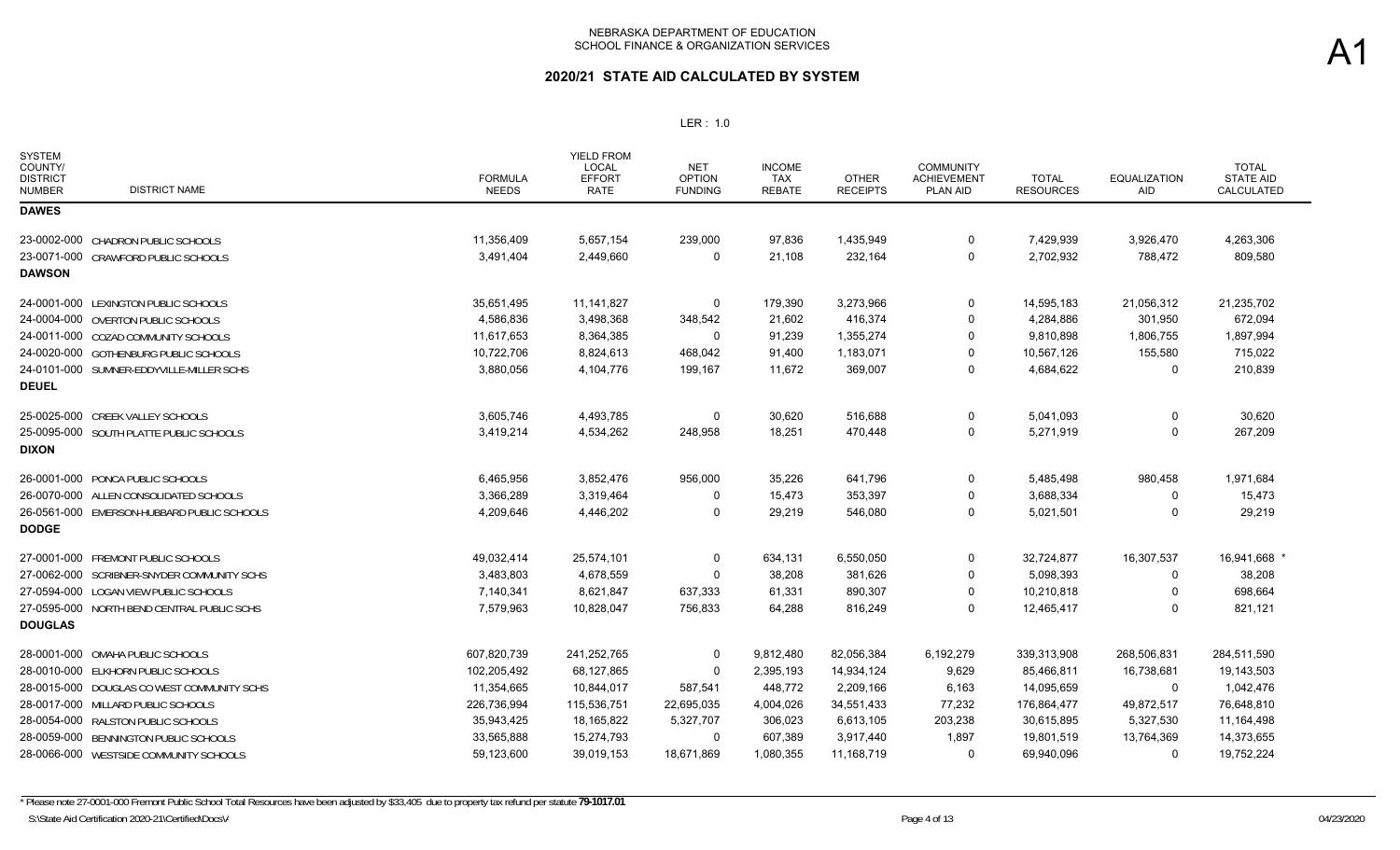## **2020/21 STATE AID CALCULATED BY SYSTEM**

| <b>SYSTEM</b><br>COUNTY/<br><b>DISTRICT</b><br><b>DISTRICT NAME</b><br><b>NUMBER</b> | <b>FORMULA</b><br><b>NEEDS</b> | YIELD FROM<br>LOCAL<br><b>EFFORT</b><br><b>RATE</b> | <b>NET</b><br><b>OPTION</b><br><b>FUNDING</b> | <b>INCOME</b><br><b>TAX</b><br><b>REBATE</b> | <b>OTHER</b><br><b>RECEIPTS</b> | <b>COMMUNITY</b><br><b>ACHIEVEMENT</b><br>PLAN AID | <b>TOTAL</b><br><b>RESOURCES</b> | <b>EQUALIZATION</b><br>AID | <b>TOTAL</b><br><b>STATE AID</b><br>CALCULATED |
|--------------------------------------------------------------------------------------|--------------------------------|-----------------------------------------------------|-----------------------------------------------|----------------------------------------------|---------------------------------|----------------------------------------------------|----------------------------------|----------------------------|------------------------------------------------|
| <b>DAWES</b>                                                                         |                                |                                                     |                                               |                                              |                                 |                                                    |                                  |                            |                                                |
| 23-0002-000 CHADRON PUBLIC SCHOOLS                                                   | 11,356,409                     | 5,657,154                                           | 239,000                                       | 97,836                                       | 1,435,949                       | 0                                                  | 7,429,939                        | 3,926,470                  | 4,263,306                                      |
| 23-0071-000 CRAWFORD PUBLIC SCHOOLS                                                  | 3,491,404                      | 2,449,660                                           | 0                                             | 21,108                                       | 232,164                         | $\Omega$                                           | 2,702,932                        | 788,472                    | 809,580                                        |
| <b>DAWSON</b>                                                                        |                                |                                                     |                                               |                                              |                                 |                                                    |                                  |                            |                                                |
| 24-0001-000 LEXINGTON PUBLIC SCHOOLS                                                 | 35,651,495                     | 11,141,827                                          | 0                                             | 179,390                                      | 3,273,966                       | 0                                                  | 14,595,183                       | 21,056,312                 | 21,235,702                                     |
| 24-0004-000 OVERTON PUBLIC SCHOOLS                                                   | 4,586,836                      | 3,498,368                                           | 348,542                                       | 21,602                                       | 416,374                         | $\Omega$                                           | 4,284,886                        | 301,950                    | 672,094                                        |
| 24-0011-000 COZAD COMMUNITY SCHOOLS                                                  | 11,617,653                     | 8,364,385                                           | 0                                             | 91,239                                       | 1,355,274                       | $\Omega$                                           | 9,810,898                        | 1,806,755                  | 1,897,994                                      |
| 24-0020-000 GOTHENBURG PUBLIC SCHOOLS                                                | 10,722,706                     | 8,824,613                                           | 468,042                                       | 91,400                                       | 1,183,071                       | $\mathbf{0}$                                       | 10,567,126                       | 155,580                    | 715,022                                        |
| 24-0101-000 SUMNER-EDDYVILLE-MILLER SCHS                                             | 3,880,056                      | 4,104,776                                           | 199,167                                       | 11,672                                       | 369,007                         | 0                                                  | 4,684,622                        | 0                          | 210,839                                        |
| <b>DEUEL</b>                                                                         |                                |                                                     |                                               |                                              |                                 |                                                    |                                  |                            |                                                |
| 25-0025-000 CREEK VALLEY SCHOOLS                                                     | 3,605,746                      | 4,493,785                                           | $\Omega$                                      | 30,620                                       | 516,688                         | $\Omega$                                           | 5,041,093                        | $\Omega$                   | 30,620                                         |
| 25-0095-000 SOUTH PLATTE PUBLIC SCHOOLS                                              | 3,419,214                      | 4,534,262                                           | 248,958                                       | 18,251                                       | 470,448                         | 0                                                  | 5,271,919                        | $\Omega$                   | 267,209                                        |
| <b>DIXON</b>                                                                         |                                |                                                     |                                               |                                              |                                 |                                                    |                                  |                            |                                                |
| 26-0001-000 PONCA PUBLIC SCHOOLS                                                     | 6,465,956                      | 3,852,476                                           | 956,000                                       | 35,226                                       | 641,796                         | $\Omega$                                           | 5,485,498                        | 980,458                    | 1,971,684                                      |
| 26-0070-000 ALLEN CONSOLIDATED SCHOOLS                                               | 3,366,289                      | 3,319,464                                           | 0                                             | 15,473                                       | 353,397                         | 0                                                  | 3,688,334                        | 0                          | 15,473                                         |
| 26-0561-000 EMERSON-HUBBARD PUBLIC SCHOOLS                                           | 4,209,646                      | 4,446,202                                           | $\Omega$                                      | 29,219                                       | 546,080                         | $\Omega$                                           | 5,021,501                        | $\Omega$                   | 29,219                                         |
| <b>DODGE</b>                                                                         |                                |                                                     |                                               |                                              |                                 |                                                    |                                  |                            |                                                |
| 27-0001-000 FREMONT PUBLIC SCHOOLS                                                   | 49,032,414                     | 25,574,101                                          | 0                                             | 634,131                                      | 6,550,050                       | $\Omega$                                           | 32,724,877                       | 16,307,537                 | 16,941,668                                     |
| 27-0062-000 SCRIBNER-SNYDER COMMUNITY SCHS                                           | 3,483,803                      | 4,678,559                                           | $\Omega$                                      | 38,208                                       | 381,626                         | $\Omega$                                           | 5,098,393                        | $\Omega$                   | 38,208                                         |
| 27-0594-000 LOGAN VIEW PUBLIC SCHOOLS                                                | 7,140,341                      | 8,621,847                                           | 637,333                                       | 61,331                                       | 890,307                         | $\Omega$                                           | 10,210,818                       | 0                          | 698,664                                        |
| 27-0595-000 NORTH BEND CENTRAL PUBLIC SCHS                                           | 7,579,963                      | 10,828,047                                          | 756,833                                       | 64,288                                       | 816,249                         | $\Omega$                                           | 12,465,417                       | $\Omega$                   | 821,121                                        |
| <b>DOUGLAS</b>                                                                       |                                |                                                     |                                               |                                              |                                 |                                                    |                                  |                            |                                                |
| 28-0001-000 OMAHA PUBLIC SCHOOLS                                                     | 607,820,739                    | 241,252,765                                         | 0                                             | 9,812,480                                    | 82,056,384                      | 6,192,279                                          | 339,313,908                      | 268,506,831                | 284,511,590                                    |
| 28-0010-000 ELKHORN PUBLIC SCHOOLS                                                   | 102,205,492                    | 68,127,865                                          | $\Omega$                                      | 2,395,193                                    | 14,934,124                      | 9,629                                              | 85,466,811                       | 16,738,681                 | 19,143,503                                     |
| 28-0015-000 DOUGLAS CO WEST COMMUNITY SCHS                                           | 11,354,665                     | 10,844,017                                          | 587,541                                       | 448,772                                      | 2,209,166                       | 6,163                                              | 14,095,659                       | 0                          | 1,042,476                                      |
| 28-0017-000 MILLARD PUBLIC SCHOOLS                                                   | 226,736,994                    | 115,536,751                                         | 22,695,035                                    | 4,004,026                                    | 34,551,433                      | 77,232                                             | 176,864,477                      | 49,872,517                 | 76,648,810                                     |
| 28-0054-000 RALSTON PUBLIC SCHOOLS                                                   | 35,943,425                     | 18,165,822                                          | 5,327,707                                     | 306,023                                      | 6,613,105                       | 203,238                                            | 30,615,895                       | 5,327,530                  | 11,164,498                                     |
| 28-0059-000 BENNINGTON PUBLIC SCHOOLS                                                | 33,565,888                     | 15,274,793                                          | 0                                             | 607,389                                      | 3,917,440                       | 1,897                                              | 19,801,519                       | 13,764,369                 | 14,373,655                                     |
| 28-0066-000 WESTSIDE COMMUNITY SCHOOLS                                               | 59,123,600                     | 39,019,153                                          | 18,671,869                                    | 1,080,355                                    | 11,168,719                      | 0                                                  | 69,940,096                       | $\Omega$                   | 19,752,224                                     |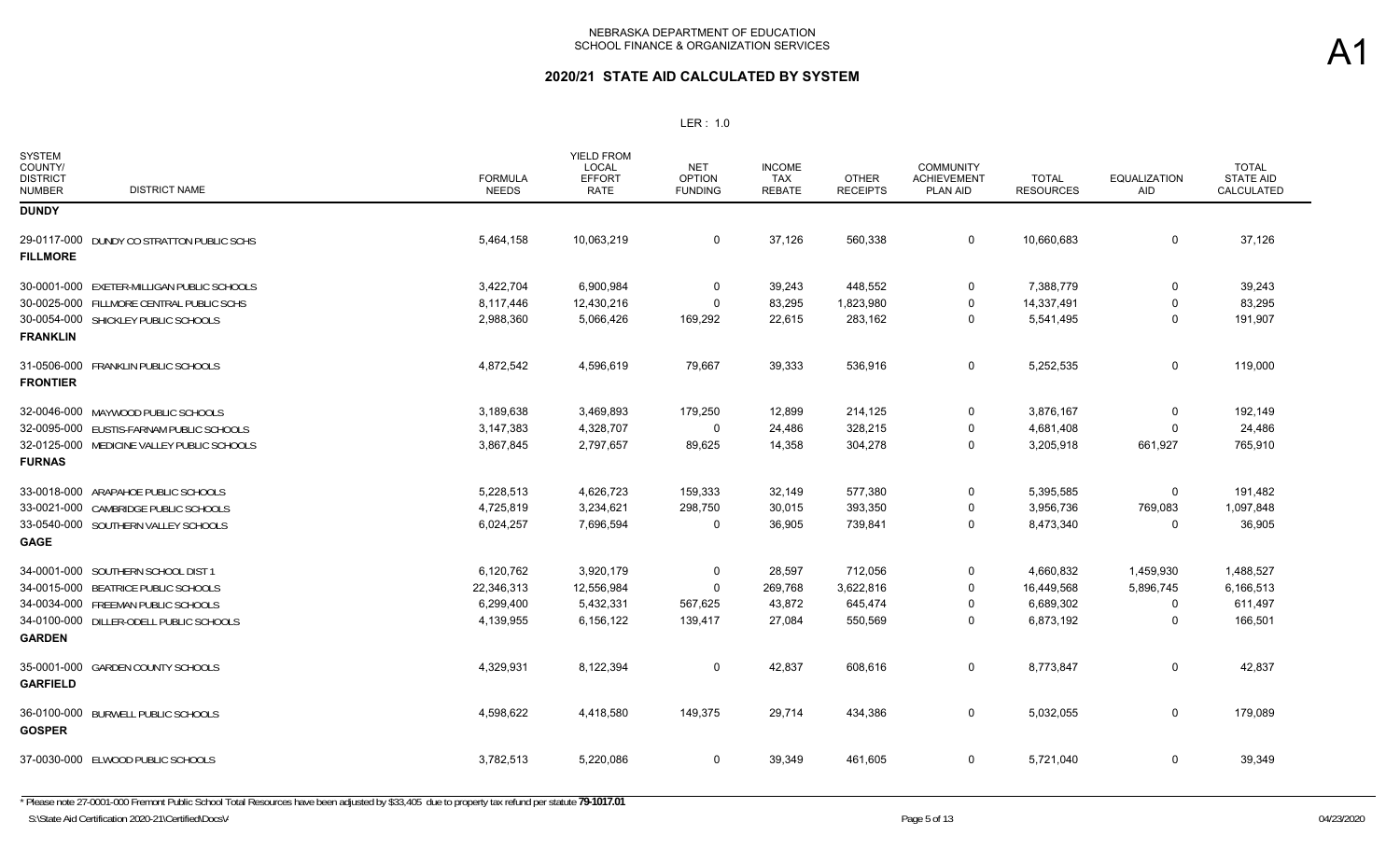| <b>SYSTEM</b><br>COUNTY/<br><b>DISTRICT</b><br><b>NUMBER</b> | <b>DISTRICT NAME</b>                       | <b>FORMULA</b><br><b>NEEDS</b> | <b>YIELD FROM</b><br><b>LOCAL</b><br><b>EFFORT</b><br><b>RATE</b> | <b>NET</b><br><b>OPTION</b><br><b>FUNDING</b> | <b>INCOME</b><br><b>TAX</b><br><b>REBATE</b> | <b>OTHER</b><br><b>RECEIPTS</b> | <b>COMMUNITY</b><br><b>ACHIEVEMENT</b><br>PLAN AID | <b>TOTAL</b><br><b>RESOURCES</b> | <b>EQUALIZATION</b><br>AID | <b>TOTAL</b><br><b>STATE AID</b><br>CALCULATED |
|--------------------------------------------------------------|--------------------------------------------|--------------------------------|-------------------------------------------------------------------|-----------------------------------------------|----------------------------------------------|---------------------------------|----------------------------------------------------|----------------------------------|----------------------------|------------------------------------------------|
| <b>DUNDY</b>                                                 |                                            |                                |                                                                   |                                               |                                              |                                 |                                                    |                                  |                            |                                                |
| <b>FILLMORE</b>                                              | 29-0117-000 DUNDY CO STRATTON PUBLIC SCHS  | 5,464,158                      | 10,063,219                                                        | 0                                             | 37,126                                       | 560,338                         | $\mathbf 0$                                        | 10,660,683                       | 0                          | 37,126                                         |
|                                                              | 30-0001-000 EXETER-MILLIGAN PUBLIC SCHOOLS | 3,422,704                      | 6,900,984                                                         | $\Omega$                                      | 39,243                                       | 448,552                         | $\mathbf 0$                                        | 7,388,779                        | $\mathbf 0$                | 39,243                                         |
|                                                              | 30-0025-000 FILLMORE CENTRAL PUBLIC SCHS   | 8,117,446                      | 12,430,216                                                        | $\Omega$                                      | 83,295                                       | 1,823,980                       | $\mathbf 0$                                        | 14,337,491                       | $\mathbf 0$                | 83,295                                         |
| <b>FRANKLIN</b>                                              | 30-0054-000 SHICKLEY PUBLIC SCHOOLS        | 2,988,360                      | 5,066,426                                                         | 169,292                                       | 22,615                                       | 283,162                         | $\mathbf 0$                                        | 5,541,495                        | $\mathbf 0$                | 191,907                                        |
| <b>FRONTIER</b>                                              | 31-0506-000 FRANKLIN PUBLIC SCHOOLS        | 4,872,542                      | 4,596,619                                                         | 79,667                                        | 39,333                                       | 536,916                         | $\mathbf 0$                                        | 5,252,535                        | 0                          | 119,000                                        |
|                                                              | 32-0046-000 MAYWOOD PUBLIC SCHOOLS         | 3,189,638                      | 3,469,893                                                         | 179,250                                       | 12,899                                       | 214,125                         | 0                                                  | 3,876,167                        | 0                          | 192,149                                        |
|                                                              | 32-0095-000 EUSTIS-FARNAM PUBLIC SCHOOLS   | 3,147,383                      | 4,328,707                                                         | 0                                             | 24,486                                       | 328,215                         | $\mathbf 0$                                        | 4,681,408                        | $\Omega$                   | 24,486                                         |
| <b>FURNAS</b>                                                | 32-0125-000 MEDICINE VALLEY PUBLIC SCHOOLS | 3,867,845                      | 2,797,657                                                         | 89,625                                        | 14,358                                       | 304,278                         | $\mathbf 0$                                        | 3,205,918                        | 661,927                    | 765,910                                        |
|                                                              | 33-0018-000 ARAPAHOE PUBLIC SCHOOLS        | 5,228,513                      | 4,626,723                                                         | 159,333                                       | 32,149                                       | 577,380                         | 0                                                  | 5,395,585                        | 0                          | 191,482                                        |
|                                                              | 33-0021-000 CAMBRIDGE PUBLIC SCHOOLS       | 4,725,819                      | 3,234,621                                                         | 298,750                                       | 30,015                                       | 393,350                         | $\mathbf 0$                                        | 3,956,736                        | 769,083                    | 1,097,848                                      |
| <b>GAGE</b>                                                  | 33-0540-000 SOUTHERN VALLEY SCHOOLS        | 6,024,257                      | 7,696,594                                                         | 0                                             | 36,905                                       | 739,841                         | 0                                                  | 8,473,340                        | 0                          | 36,905                                         |
|                                                              | 34-0001-000 SOUTHERN SCHOOL DIST 1         | 6,120,762                      | 3,920,179                                                         | 0                                             | 28,597                                       | 712,056                         | $\mathbf 0$                                        | 4,660,832                        | 1,459,930                  | 1,488,527                                      |
|                                                              | 34-0015-000 BEATRICE PUBLIC SCHOOLS        | 22,346,313                     | 12,556,984                                                        | 0                                             | 269,768                                      | 3,622,816                       | $\mathbf 0$                                        | 16,449,568                       | 5,896,745                  | 6,166,513                                      |
|                                                              | 34-0034-000 FREEMAN PUBLIC SCHOOLS         | 6,299,400                      | 5,432,331                                                         | 567,625                                       | 43,872                                       | 645,474                         | $\mathbf 0$                                        | 6,689,302                        | 0                          | 611,497                                        |
| <b>GARDEN</b>                                                | 34-0100-000 DILLER-ODELL PUBLIC SCHOOLS    | 4,139,955                      | 6,156,122                                                         | 139,417                                       | 27,084                                       | 550,569                         | $\mathbf 0$                                        | 6,873,192                        | $\Omega$                   | 166,501                                        |
| <b>GARFIELD</b>                                              | 35-0001-000 GARDEN COUNTY SCHOOLS          | 4,329,931                      | 8,122,394                                                         | 0                                             | 42,837                                       | 608,616                         | $\mathbf 0$                                        | 8,773,847                        | $\mathbf 0$                | 42,837                                         |
| <b>GOSPER</b>                                                | 36-0100-000 BURWELL PUBLIC SCHOOLS         | 4,598,622                      | 4,418,580                                                         | 149,375                                       | 29,714                                       | 434,386                         | $\mathbf 0$                                        | 5,032,055                        | 0                          | 179,089                                        |
|                                                              | 37-0030-000 ELWOOD PUBLIC SCHOOLS          | 3,782,513                      | 5,220,086                                                         | 0                                             | 39,349                                       | 461,605                         | $\mathbf 0$                                        | 5,721,040                        | $\mathbf 0$                | 39,349                                         |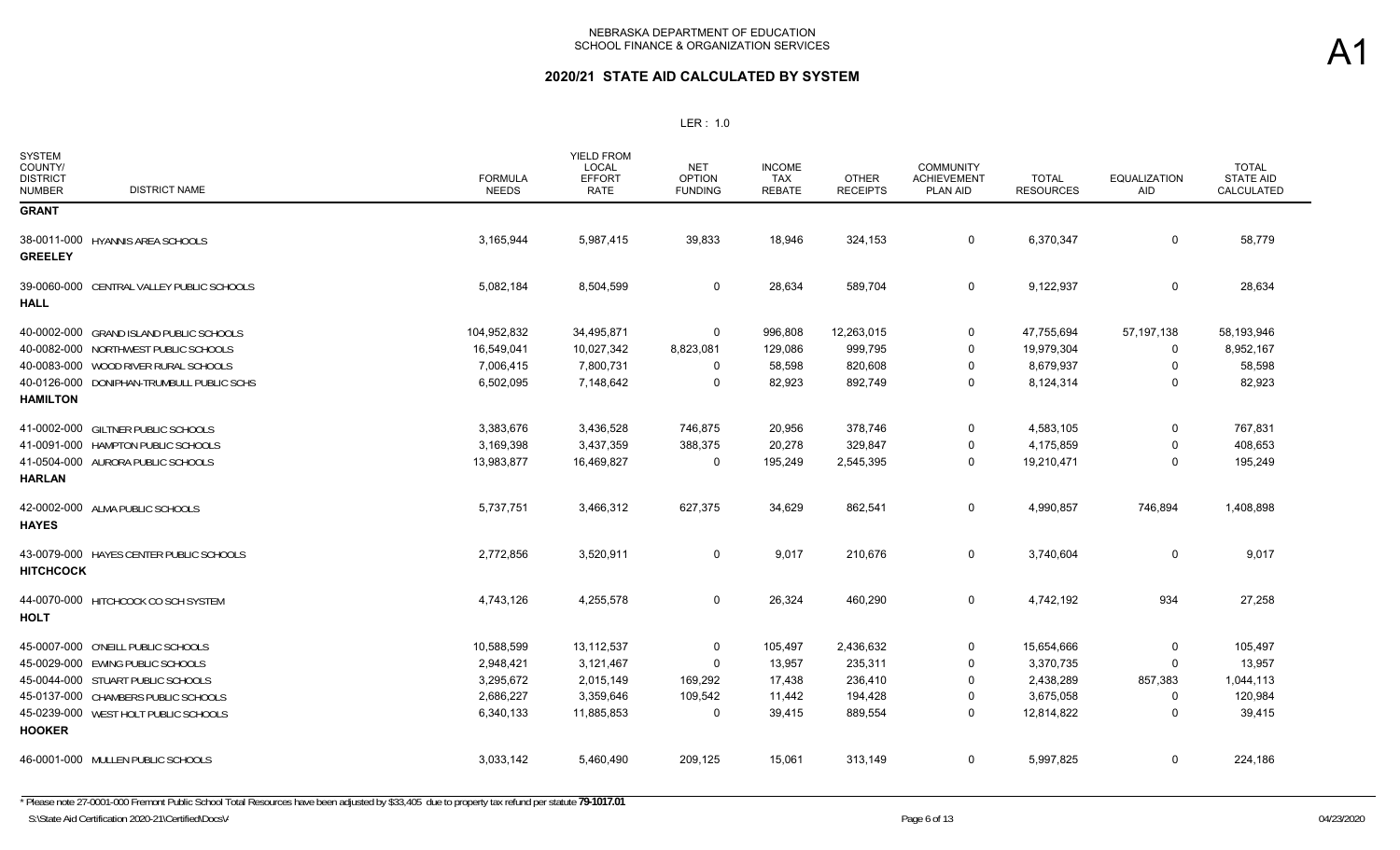| <b>SYSTEM</b><br>COUNTY/<br><b>DISTRICT</b><br><b>DISTRICT NAME</b><br><b>NUMBER</b> | <b>FORMULA</b><br><b>NEEDS</b> | <b>YIELD FROM</b><br>LOCAL<br><b>EFFORT</b><br>RATE | NET<br><b>OPTION</b><br><b>FUNDING</b> | <b>INCOME</b><br><b>TAX</b><br><b>REBATE</b> | <b>OTHER</b><br><b>RECEIPTS</b> | <b>COMMUNITY</b><br><b>ACHIEVEMENT</b><br><b>PLAN AID</b> | <b>TOTAL</b><br><b>RESOURCES</b> | <b>EQUALIZATION</b><br>AID | <b>TOTAL</b><br><b>STATE AID</b><br>CALCULATED |
|--------------------------------------------------------------------------------------|--------------------------------|-----------------------------------------------------|----------------------------------------|----------------------------------------------|---------------------------------|-----------------------------------------------------------|----------------------------------|----------------------------|------------------------------------------------|
| <b>GRANT</b>                                                                         |                                |                                                     |                                        |                                              |                                 |                                                           |                                  |                            |                                                |
| 38-0011-000 HYANNIS AREA SCHOOLS<br><b>GREELEY</b>                                   | 3,165,944                      | 5,987,415                                           | 39,833                                 | 18,946                                       | 324,153                         | $\mathbf 0$                                               | 6,370,347                        | 0                          | 58,779                                         |
| 39-0060-000 CENTRAL VALLEY PUBLIC SCHOOLS<br><b>HALL</b>                             | 5,082,184                      | 8,504,599                                           | 0                                      | 28,634                                       | 589,704                         | $\mathbf 0$                                               | 9,122,937                        | 0                          | 28,634                                         |
| 40-0002-000 GRAND ISLAND PUBLIC SCHOOLS                                              | 104,952,832                    | 34,495,871                                          | 0                                      | 996,808                                      | 12,263,015                      | 0                                                         | 47,755,694                       | 57,197,138                 | 58,193,946                                     |
| 40-0082-000 NORTHWEST PUBLIC SCHOOLS                                                 | 16,549,041                     | 10,027,342                                          | 8,823,081                              | 129,086                                      | 999,795                         | 0                                                         | 19,979,304                       | 0                          | 8,952,167                                      |
| 40-0083-000 WOOD RIVER RURAL SCHOOLS                                                 | 7,006,415                      | 7,800,731                                           | 0                                      | 58,598                                       | 820,608                         | $\Omega$                                                  | 8,679,937                        | 0                          | 58,598                                         |
| 40-0126-000 DONIPHAN-TRUMBULL PUBLIC SCHS                                            | 6,502,095                      | 7,148,642                                           | $\Omega$                               | 82,923                                       | 892,749                         | $\Omega$                                                  | 8,124,314                        | $\Omega$                   | 82,923                                         |
| <b>HAMILTON</b>                                                                      |                                |                                                     |                                        |                                              |                                 |                                                           |                                  |                            |                                                |
| 41-0002-000 GILTNER PUBLIC SCHOOLS                                                   | 3,383,676                      | 3,436,528                                           | 746,875                                | 20,956                                       | 378,746                         | 0                                                         | 4,583,105                        | 0                          | 767,831                                        |
| 41-0091-000 HAMPTON PUBLIC SCHOOLS                                                   | 3,169,398                      | 3,437,359                                           | 388,375                                | 20,278                                       | 329,847                         | $\Omega$                                                  | 4,175,859                        | $\mathbf{0}$               | 408,653                                        |
| 41-0504-000 AURORA PUBLIC SCHOOLS<br><b>HARLAN</b>                                   | 13,983,877                     | 16,469,827                                          | $\mathbf 0$                            | 195,249                                      | 2,545,395                       | $\mathbf 0$                                               | 19,210,471                       | $\mathbf 0$                | 195,249                                        |
| 42-0002-000 ALMA PUBLIC SCHOOLS<br><b>HAYES</b>                                      | 5,737,751                      | 3,466,312                                           | 627,375                                | 34,629                                       | 862,541                         | 0                                                         | 4,990,857                        | 746,894                    | 1,408,898                                      |
| 43-0079-000 HAYES CENTER PUBLIC SCHOOLS<br><b>HITCHCOCK</b>                          | 2,772,856                      | 3,520,911                                           | 0                                      | 9,017                                        | 210,676                         | 0                                                         | 3,740,604                        | 0                          | 9,017                                          |
| 44-0070-000 HITCHCOCK CO SCH SYSTEM<br><b>HOLT</b>                                   | 4,743,126                      | 4,255,578                                           | 0                                      | 26,324                                       | 460,290                         | 0                                                         | 4,742,192                        | 934                        | 27,258                                         |
| 45-0007-000 O'NEILL PUBLIC SCHOOLS                                                   | 10,588,599                     | 13,112,537                                          | 0                                      | 105,497                                      | 2,436,632                       | 0                                                         | 15,654,666                       | 0                          | 105,497                                        |
| 45-0029-000 EWING PUBLIC SCHOOLS                                                     | 2,948,421                      | 3,121,467                                           | 0                                      | 13,957                                       | 235,311                         | 0                                                         | 3,370,735                        | 0                          | 13,957                                         |
| 45-0044-000 STUART PUBLIC SCHOOLS                                                    | 3,295,672                      | 2,015,149                                           | 169,292                                | 17,438                                       | 236,410                         | $\Omega$                                                  | 2,438,289                        | 857,383                    | 1,044,113                                      |
| 45-0137-000 CHAMBERS PUBLIC SCHOOLS                                                  | 2,686,227                      | 3,359,646                                           | 109,542                                | 11,442                                       | 194,428                         | 0                                                         | 3,675,058                        | 0                          | 120,984                                        |
| 45-0239-000 WEST HOLT PUBLIC SCHOOLS<br><b>HOOKER</b>                                | 6,340,133                      | 11,885,853                                          | 0                                      | 39,415                                       | 889,554                         | $\Omega$                                                  | 12,814,822                       | 0                          | 39,415                                         |
| 46-0001-000 MULLEN PUBLIC SCHOOLS                                                    | 3,033,142                      | 5,460,490                                           | 209,125                                | 15,061                                       | 313,149                         | $\mathbf 0$                                               | 5,997,825                        | 0                          | 224,186                                        |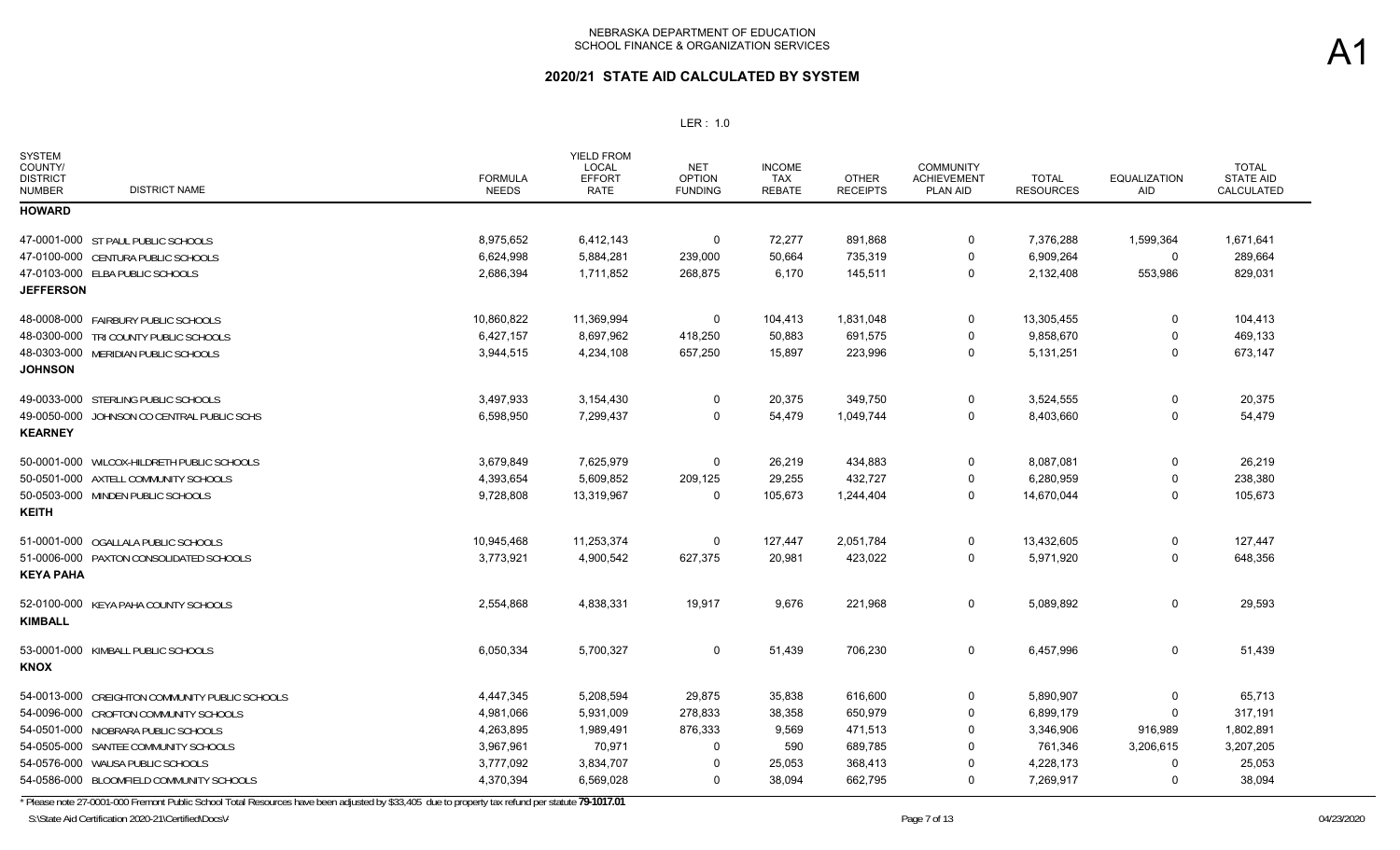### **2020/21 STATE AID CALCULATED BY SYSTEM**

#### LER : 1.0

| <b>SYSTEM</b><br>COUNTY/<br><b>DISTRICT</b><br><b>NUMBER</b> | <b>DISTRICT NAME</b>                           | <b>FORMULA</b><br><b>NEEDS</b> | <b>YIELD FROM</b><br>LOCAL<br><b>EFFORT</b><br><b>RATE</b> | <b>NET</b><br><b>OPTION</b><br><b>FUNDING</b> | <b>INCOME</b><br><b>TAX</b><br><b>REBATE</b> | <b>OTHER</b><br><b>RECEIPTS</b> | <b>COMMUNITY</b><br><b>ACHIEVEMENT</b><br>PLAN AID | <b>TOTAL</b><br><b>RESOURCES</b> | <b>EQUALIZATION</b><br><b>AID</b> | <b>TOTAL</b><br><b>STATE AID</b><br>CALCULATED |
|--------------------------------------------------------------|------------------------------------------------|--------------------------------|------------------------------------------------------------|-----------------------------------------------|----------------------------------------------|---------------------------------|----------------------------------------------------|----------------------------------|-----------------------------------|------------------------------------------------|
| <b>HOWARD</b>                                                |                                                |                                |                                                            |                                               |                                              |                                 |                                                    |                                  |                                   |                                                |
|                                                              | 47-0001-000 ST PAUL PUBLIC SCHOOLS             | 8,975,652                      | 6,412,143                                                  | 0                                             | 72,277                                       | 891,868                         | 0                                                  | 7,376,288                        | 1,599,364                         | 1,671,641                                      |
|                                                              | 47-0100-000 CENTURA PUBLIC SCHOOLS             | 6,624,998                      | 5,884,281                                                  | 239,000                                       | 50,664                                       | 735,319                         | 0                                                  | 6,909,264                        | $\mathbf 0$                       | 289,664                                        |
|                                                              | 47-0103-000 ELBA PUBLIC SCHOOLS                | 2,686,394                      | 1,711,852                                                  | 268,875                                       | 6,170                                        | 145,511                         | 0                                                  | 2,132,408                        | 553,986                           | 829,031                                        |
| <b>JEFFERSON</b>                                             |                                                |                                |                                                            |                                               |                                              |                                 |                                                    |                                  |                                   |                                                |
|                                                              | 48-0008-000 FAIRBURY PUBLIC SCHOOLS            | 10,860,822                     | 11,369,994                                                 | $\mathbf 0$                                   | 104,413                                      | 1,831,048                       | $\mathbf 0$                                        | 13,305,455                       | 0                                 | 104,413                                        |
|                                                              | 48-0300-000 TRI COUNTY PUBLIC SCHOOLS          | 6,427,157                      | 8,697,962                                                  | 418,250                                       | 50,883                                       | 691,575                         | $\Omega$                                           | 9,858,670                        | $\Omega$                          | 469,133                                        |
| <b>JOHNSON</b>                                               | 48-0303-000 MERIDIAN PUBLIC SCHOOLS            | 3,944,515                      | 4,234,108                                                  | 657,250                                       | 15,897                                       | 223,996                         | $\mathbf 0$                                        | 5,131,251                        | $\Omega$                          | 673,147                                        |
|                                                              | 49-0033-000 STERLING PUBLIC SCHOOLS            | 3,497,933                      | 3,154,430                                                  | $\Omega$                                      | 20,375                                       | 349,750                         | $\mathbf 0$                                        | 3,524,555                        | $\Omega$                          | 20,375                                         |
|                                                              | 49-0050-000 JOHNSON CO CENTRAL PUBLIC SCHS     | 6,598,950                      | 7,299,437                                                  | $\Omega$                                      | 54,479                                       | 1,049,744                       | $\mathbf 0$                                        | 8,403,660                        | $\mathbf 0$                       | 54,479                                         |
| <b>KEARNEY</b>                                               |                                                |                                |                                                            |                                               |                                              |                                 |                                                    |                                  |                                   |                                                |
|                                                              | 50-0001-000 WILCOX-HILDRETH PUBLIC SCHOOLS     | 3,679,849                      | 7,625,979                                                  | $\Omega$                                      | 26,219                                       | 434,883                         | $\mathbf 0$                                        | 8,087,081                        | $\mathbf 0$                       | 26,219                                         |
|                                                              | 50-0501-000 AXTELL COMMUNITY SCHOOLS           | 4,393,654                      | 5,609,852                                                  | 209,125                                       | 29,255                                       | 432,727                         | $\mathbf 0$                                        | 6,280,959                        | 0                                 | 238,380                                        |
|                                                              | 50-0503-000 MINDEN PUBLIC SCHOOLS              | 9,728,808                      | 13,319,967                                                 | 0                                             | 105,673                                      | 1,244,404                       | $\mathbf 0$                                        | 14,670,044                       | $\Omega$                          | 105,673                                        |
| <b>KEITH</b>                                                 |                                                |                                |                                                            |                                               |                                              |                                 |                                                    |                                  |                                   |                                                |
|                                                              | 51-0001-000 OGALLALA PUBLIC SCHOOLS            | 10,945,468                     | 11,253,374                                                 | 0                                             | 127,447                                      | 2,051,784                       | 0                                                  | 13,432,605                       | 0                                 | 127,447                                        |
| <b>KEYA PAHA</b>                                             | 51-0006-000 PAXTON CONSOLIDATED SCHOOLS        | 3,773,921                      | 4,900,542                                                  | 627,375                                       | 20,981                                       | 423,022                         | $\mathbf 0$                                        | 5,971,920                        | $\mathbf 0$                       | 648,356                                        |
|                                                              | 52-0100-000 KEYA PAHA COUNTY SCHOOLS           | 2,554,868                      | 4,838,331                                                  | 19,917                                        | 9,676                                        | 221,968                         | $\mathbf 0$                                        | 5,089,892                        | $\mathbf 0$                       | 29,593                                         |
| <b>KIMBALL</b>                                               |                                                |                                |                                                            |                                               |                                              |                                 |                                                    |                                  |                                   |                                                |
|                                                              | 53-0001-000 KIMBALL PUBLIC SCHOOLS             | 6,050,334                      | 5,700,327                                                  | 0                                             | 51,439                                       | 706,230                         | 0                                                  | 6,457,996                        | 0                                 | 51,439                                         |
| <b>KNOX</b>                                                  |                                                |                                |                                                            |                                               |                                              |                                 |                                                    |                                  |                                   |                                                |
|                                                              | 54-0013-000 CREIGHTON COMMUNITY PUBLIC SCHOOLS | 4,447,345                      | 5,208,594                                                  | 29,875                                        | 35,838                                       | 616,600                         | 0                                                  | 5,890,907                        | 0                                 | 65,713                                         |
|                                                              | 54-0096-000 CROFTON COMMUNITY SCHOOLS          | 4,981,066                      | 5,931,009                                                  | 278,833                                       | 38,358                                       | 650,979                         | $\mathbf 0$                                        | 6,899,179                        | 0                                 | 317,191                                        |
|                                                              | 54-0501-000 NIOBRARA PUBLIC SCHOOLS            | 4,263,895                      | 1,989,491                                                  | 876,333                                       | 9,569                                        | 471,513                         | $\mathbf 0$                                        | 3,346,906                        | 916,989                           | 1,802,891                                      |
|                                                              | 54-0505-000 SANTEE COMMUNITY SCHOOLS           | 3,967,961                      | 70,971                                                     | $\Omega$                                      | 590                                          | 689,785                         | $\Omega$                                           | 761,346                          | 3,206,615                         | 3,207,205                                      |
|                                                              | 54-0576-000 WAUSA PUBLIC SCHOOLS               | 3,777,092                      | 3,834,707                                                  | $\Omega$                                      | 25,053                                       | 368,413                         | 0                                                  | 4,228,173                        | $\Omega$                          | 25,053                                         |
|                                                              | 54-0586-000 BLOOMFIELD COMMUNITY SCHOOLS       | 4,370,394                      | 6,569,028                                                  | 0                                             | 38,094                                       | 662,795                         | $\Omega$                                           | 7,269,917                        | $\Omega$                          | 38,094                                         |

\* Please note 27-0001-000 Fremont Public School Total Resources have been adjusted by \$33,405 due to property tax refund per statute **79-1017.01**

S:\State Aid Certification 2020-21\Certified\Docs\/

A1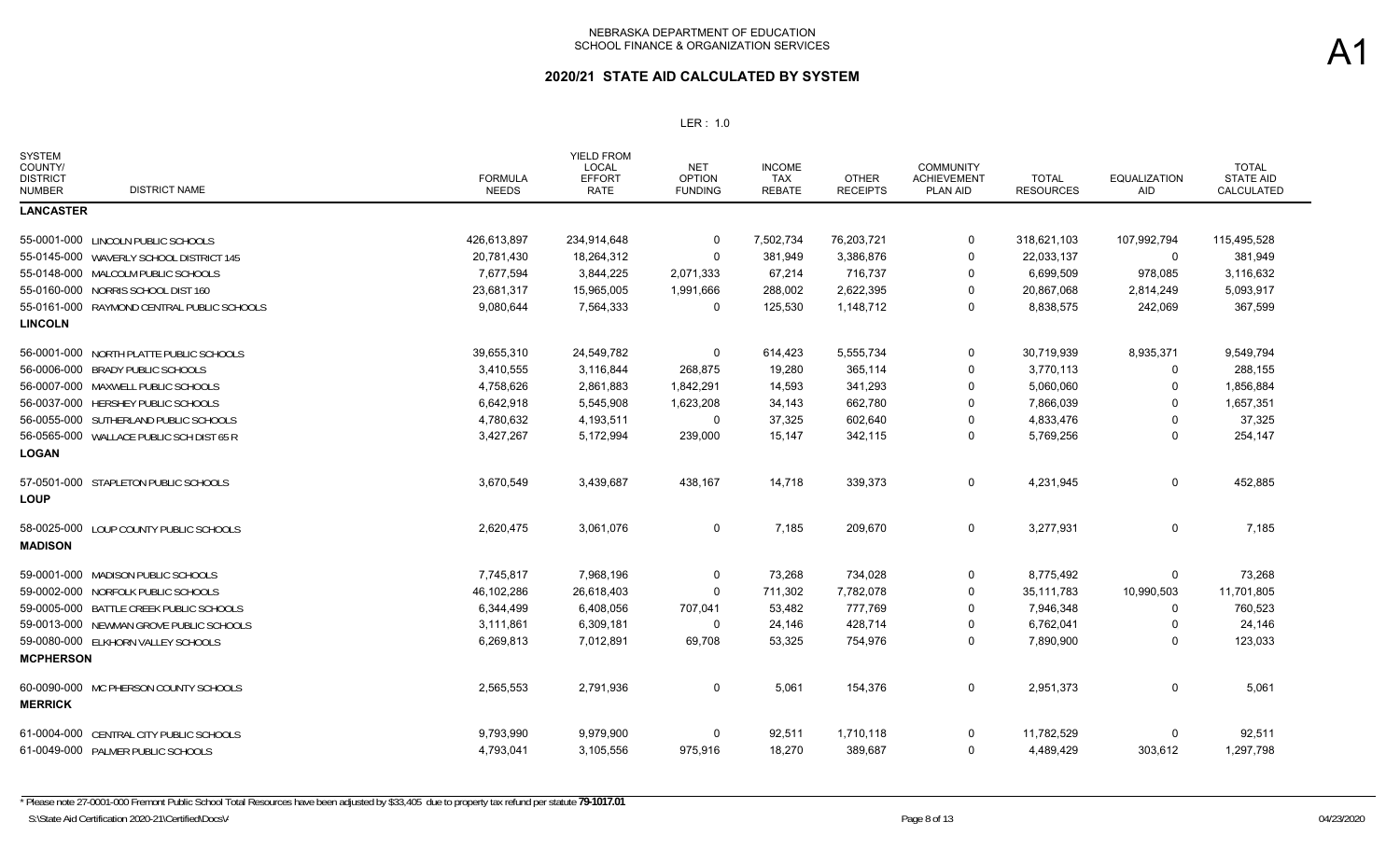| <b>SYSTEM</b><br>COUNTY/<br><b>DISTRICT</b><br><b>DISTRICT NAME</b><br><b>NUMBER</b> | <b>FORMULA</b><br><b>NEEDS</b> | <b>YIELD FROM</b><br><b>LOCAL</b><br><b>EFFORT</b><br>RATE | <b>NET</b><br><b>OPTION</b><br><b>FUNDING</b> | <b>INCOME</b><br>TAX<br><b>REBATE</b> | <b>OTHER</b><br><b>RECEIPTS</b> | <b>COMMUNITY</b><br><b>ACHIEVEMENT</b><br>PLAN AID | <b>TOTAL</b><br><b>RESOURCES</b> | <b>EQUALIZATION</b><br>AID | <b>TOTAL</b><br><b>STATE AID</b><br>CALCULATED |
|--------------------------------------------------------------------------------------|--------------------------------|------------------------------------------------------------|-----------------------------------------------|---------------------------------------|---------------------------------|----------------------------------------------------|----------------------------------|----------------------------|------------------------------------------------|
| <b>LANCASTER</b>                                                                     |                                |                                                            |                                               |                                       |                                 |                                                    |                                  |                            |                                                |
| 55-0001-000 LINCOLN PUBLIC SCHOOLS                                                   | 426,613,897                    | 234,914,648                                                | $\mathbf 0$                                   | 7,502,734                             | 76,203,721                      | 0                                                  | 318,621,103                      | 107,992,794                | 115,495,528                                    |
| 55-0145-000 WAVERLY SCHOOL DISTRICT 145                                              | 20,781,430                     | 18,264,312                                                 | 0                                             | 381,949                               | 3,386,876                       | 0                                                  | 22,033,137                       | $\Omega$                   | 381,949                                        |
| 55-0148-000 MALCOLM PUBLIC SCHOOLS                                                   | 7,677,594                      | 3,844,225                                                  | 2,071,333                                     | 67,214                                | 716,737                         | 0                                                  | 6,699,509                        | 978,085                    | 3,116,632                                      |
| 55-0160-000<br>NORRIS SCHOOL DIST 160                                                | 23,681,317                     | 15,965,005                                                 | 1,991,666                                     | 288,002                               | 2,622,395                       | 0                                                  | 20,867,068                       | 2,814,249                  | 5,093,917                                      |
| 55-0161-000<br>RAYMOND CENTRAL PUBLIC SCHOOLS                                        | 9,080,644                      | 7,564,333                                                  | 0                                             | 125,530                               | 1,148,712                       | 0                                                  | 8,838,575                        | 242,069                    | 367,599                                        |
| <b>LINCOLN</b>                                                                       |                                |                                                            |                                               |                                       |                                 |                                                    |                                  |                            |                                                |
| 56-0001-000 NORTH PLATTE PUBLIC SCHOOLS                                              | 39,655,310                     | 24,549,782                                                 | 0                                             | 614,423                               | 5,555,734                       | 0                                                  | 30,719,939                       | 8,935,371                  | 9,549,794                                      |
| 56-0006-000 BRADY PUBLIC SCHOOLS                                                     | 3,410,555                      | 3,116,844                                                  | 268,875                                       | 19,280                                | 365,114                         | $\Omega$                                           | 3,770,113                        | $\Omega$                   | 288,155                                        |
| 56-0007-000 MAXWELL PUBLIC SCHOOLS                                                   | 4,758,626                      | 2,861,883                                                  | 1,842,291                                     | 14,593                                | 341,293                         | $\Omega$                                           | 5,060,060                        | $\Omega$                   | 1,856,884                                      |
| 56-0037-000 HERSHEY PUBLIC SCHOOLS                                                   | 6,642,918                      | 5,545,908                                                  | 1,623,208                                     | 34,143                                | 662,780                         | 0                                                  | 7,866,039                        | $\Omega$                   | 1,657,351                                      |
| 56-0055-000 SUTHERLAND PUBLIC SCHOOLS                                                | 4,780,632                      | 4,193,511                                                  | 0                                             | 37,325                                | 602,640                         | $\Omega$                                           | 4,833,476                        | $\Omega$                   | 37,325                                         |
| 56-0565-000 WALLACE PUBLIC SCH DIST 65 R                                             | 3,427,267                      | 5,172,994                                                  | 239,000                                       | 15,147                                | 342,115                         | 0                                                  | 5,769,256                        | 0                          | 254,147                                        |
| <b>LOGAN</b>                                                                         |                                |                                                            |                                               |                                       |                                 |                                                    |                                  |                            |                                                |
| 57-0501-000 STAPLETON PUBLIC SCHOOLS<br><b>LOUP</b>                                  | 3,670,549                      | 3,439,687                                                  | 438,167                                       | 14,718                                | 339,373                         | 0                                                  | 4,231,945                        | 0                          | 452,885                                        |
| 58-0025-000 LOUP COUNTY PUBLIC SCHOOLS<br><b>MADISON</b>                             | 2,620,475                      | 3,061,076                                                  | $\mathbf 0$                                   | 7,185                                 | 209,670                         | 0                                                  | 3,277,931                        | 0                          | 7.185                                          |
| MADISON PUBLIC SCHOOLS<br>59-0001-000                                                | 7,745,817                      | 7,968,196                                                  | 0                                             | 73,268                                | 734,028                         | 0                                                  | 8,775,492                        | $\Omega$                   | 73,268                                         |
| NORFOLK PUBLIC SCHOOLS<br>59-0002-000                                                | 46,102,286                     | 26,618,403                                                 | $\mathbf 0$                                   | 711,302                               | 7,782,078                       | 0                                                  | 35,111,783                       | 10,990,503                 | 11,701,805                                     |
| BATTLE CREEK PUBLIC SCHOOLS<br>59-0005-000                                           | 6,344,499                      | 6,408,056                                                  | 707,041                                       | 53,482                                | 777,769                         | $\Omega$                                           | 7,946,348                        | 0                          | 760,523                                        |
| 59-0013-000<br>NEWMAN GROVE PUBLIC SCHOOLS                                           | 3,111,861                      | 6,309,181                                                  | 0                                             | 24,146                                | 428,714                         | 0                                                  | 6,762,041                        | 0                          | 24,146                                         |
| 59-0080-000 ELKHORN VALLEY SCHOOLS                                                   | 6,269,813                      | 7,012,891                                                  | 69,708                                        | 53,325                                | 754,976                         | 0                                                  | 7,890,900                        | 0                          | 123,033                                        |
| <b>MCPHERSON</b>                                                                     |                                |                                                            |                                               |                                       |                                 |                                                    |                                  |                            |                                                |
| 60-0090-000 MC PHERSON COUNTY SCHOOLS<br><b>MERRICK</b>                              | 2,565,553                      | 2,791,936                                                  | 0                                             | 5,061                                 | 154,376                         | 0                                                  | 2,951,373                        | $\mathbf 0$                | 5,061                                          |
| 61-0004-000 CENTRAL CITY PUBLIC SCHOOLS                                              | 9,793,990                      | 9,979,900                                                  | 0                                             | 92,511                                | 1,710,118                       | 0                                                  | 11,782,529                       | $\Omega$                   | 92,511                                         |
| 61-0049-000 PALMER PUBLIC SCHOOLS                                                    | 4,793,041                      | 3,105,556                                                  | 975,916                                       | 18,270                                | 389,687                         | $\Omega$                                           | 4,489,429                        | 303,612                    | 1,297,798                                      |
|                                                                                      |                                |                                                            |                                               |                                       |                                 |                                                    |                                  |                            |                                                |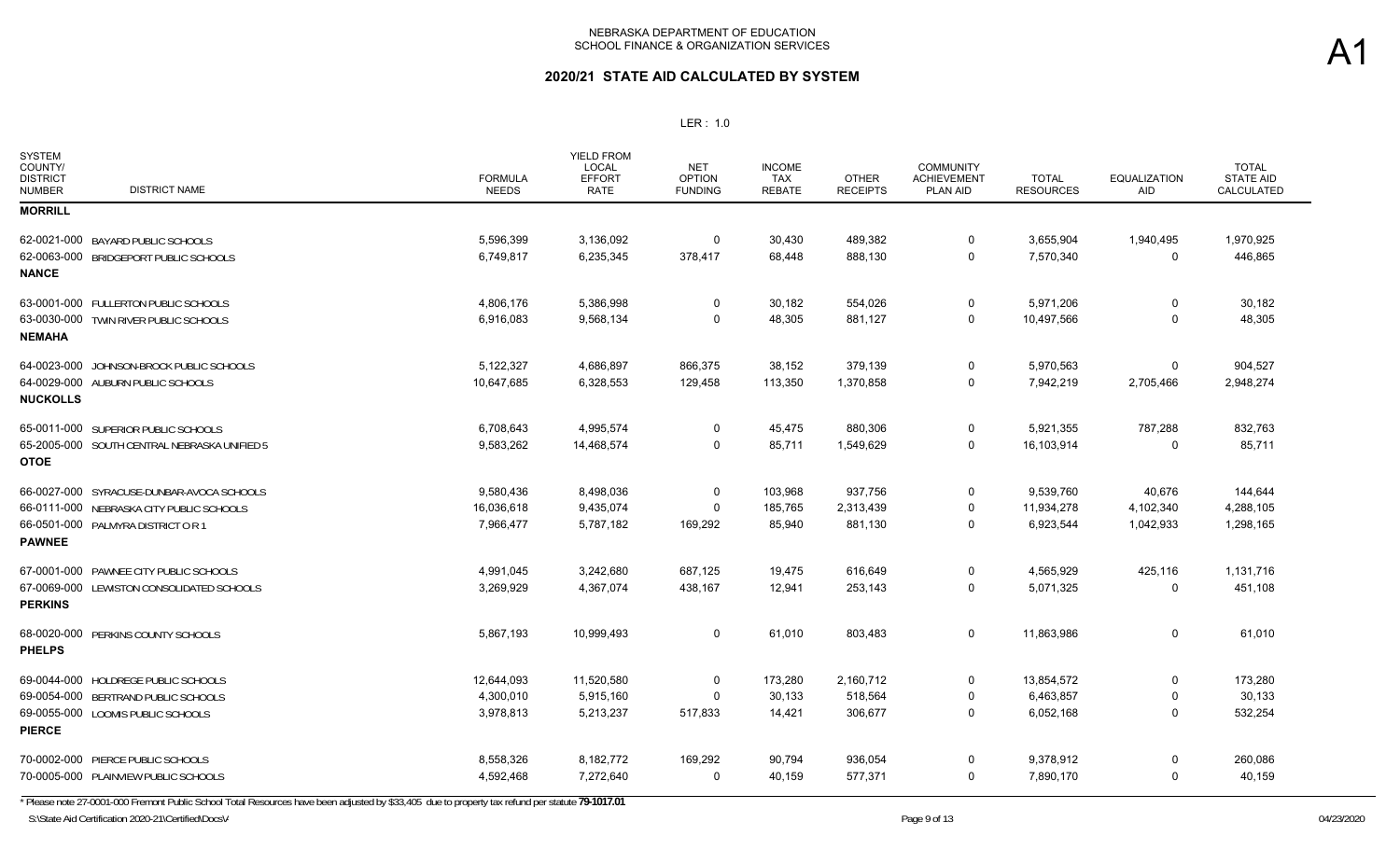## **2020/21 STATE AID CALCULATED BY SYSTEM**

#### LER : 1.0

| <b>SYSTEM</b><br>COUNTY/<br><b>DISTRICT</b><br><b>NUMBER</b> | <b>DISTRICT NAME</b>                         | <b>FORMULA</b><br><b>NEEDS</b> | <b>YIELD FROM</b><br>LOCAL<br><b>EFFORT</b><br><b>RATE</b> | <b>NET</b><br><b>OPTION</b><br><b>FUNDING</b> | <b>INCOME</b><br><b>TAX</b><br><b>REBATE</b> | <b>OTHER</b><br><b>RECEIPTS</b> | <b>COMMUNITY</b><br><b>ACHIEVEMENT</b><br>PLAN AID | <b>TOTAL</b><br><b>RESOURCES</b> | <b>EQUALIZATION</b><br><b>AID</b> | <b>TOTAL</b><br><b>STATE AID</b><br>CALCULATED |
|--------------------------------------------------------------|----------------------------------------------|--------------------------------|------------------------------------------------------------|-----------------------------------------------|----------------------------------------------|---------------------------------|----------------------------------------------------|----------------------------------|-----------------------------------|------------------------------------------------|
| <b>MORRILL</b>                                               |                                              |                                |                                                            |                                               |                                              |                                 |                                                    |                                  |                                   |                                                |
|                                                              | 62-0021-000 BAYARD PUBLIC SCHOOLS            | 5,596,399                      | 3,136,092                                                  | 0                                             | 30,430                                       | 489,382                         | 0                                                  | 3,655,904                        | 1,940,495                         | 1,970,925                                      |
|                                                              | 62-0063-000 BRIDGEPORT PUBLIC SCHOOLS        | 6,749,817                      | 6,235,345                                                  | 378,417                                       | 68,448                                       | 888,130                         | $\mathbf 0$                                        | 7,570,340                        | $\Omega$                          | 446,865                                        |
| <b>NANCE</b>                                                 |                                              |                                |                                                            |                                               |                                              |                                 |                                                    |                                  |                                   |                                                |
|                                                              | 63-0001-000 FULLERTON PUBLIC SCHOOLS         | 4,806,176                      | 5,386,998                                                  | 0                                             | 30,182                                       | 554,026                         | 0                                                  | 5,971,206                        | $\Omega$                          | 30,182                                         |
| <b>NEMAHA</b>                                                | 63-0030-000 TWIN RIVER PUBLIC SCHOOLS        | 6,916,083                      | 9,568,134                                                  | $\Omega$                                      | 48,305                                       | 881,127                         | $\mathbf 0$                                        | 10,497,566                       | $\Omega$                          | 48,305                                         |
|                                                              | 64-0023-000 JOHNSON-BROCK PUBLIC SCHOOLS     | 5,122,327                      | 4,686,897                                                  | 866,375                                       | 38,152                                       | 379,139                         | 0                                                  | 5,970,563                        | 0                                 | 904,527                                        |
|                                                              | 64-0029-000 AUBURN PUBLIC SCHOOLS            | 10,647,685                     | 6,328,553                                                  | 129,458                                       | 113,350                                      | 1,370,858                       | 0                                                  | 7,942,219                        | 2,705,466                         | 2,948,274                                      |
| <b>NUCKOLLS</b>                                              |                                              |                                |                                                            |                                               |                                              |                                 |                                                    |                                  |                                   |                                                |
|                                                              | 65-0011-000 SUPERIOR PUBLIC SCHOOLS          | 6,708,643                      | 4,995,574                                                  | 0                                             | 45,475                                       | 880,306                         | $\mathbf 0$                                        | 5,921,355                        | 787,288                           | 832,763                                        |
|                                                              | 65-2005-000 SOUTH CENTRAL NEBRASKA UNIFIED 5 | 9,583,262                      | 14,468,574                                                 | $\Omega$                                      | 85,711                                       | 1,549,629                       | $\mathbf 0$                                        | 16,103,914                       | $\Omega$                          | 85,711                                         |
| <b>OTOE</b>                                                  |                                              |                                |                                                            |                                               |                                              |                                 |                                                    |                                  |                                   |                                                |
|                                                              | 66-0027-000 SYRACUSE-DUNBAR-AVOCA SCHOOLS    | 9,580,436                      | 8,498,036                                                  | 0                                             | 103,968                                      | 937,756                         | 0                                                  | 9,539,760                        | 40,676                            | 144,644                                        |
|                                                              | 66-0111-000 NEBRASKA CITY PUBLIC SCHOOLS     | 16,036,618                     | 9,435,074                                                  | $\Omega$                                      | 185,765                                      | 2,313,439                       | 0                                                  | 11,934,278                       | 4,102,340                         | 4,288,105                                      |
|                                                              | 66-0501-000 PALMYRA DISTRICT OR 1            | 7,966,477                      | 5,787,182                                                  | 169,292                                       | 85,940                                       | 881,130                         | $\mathbf 0$                                        | 6,923,544                        | 1,042,933                         | 1,298,165                                      |
| <b>PAWNEE</b>                                                |                                              |                                |                                                            |                                               |                                              |                                 |                                                    |                                  |                                   |                                                |
|                                                              | 67-0001-000 PAWNEE CITY PUBLIC SCHOOLS       | 4,991,045                      | 3,242,680                                                  | 687,125                                       | 19,475                                       | 616,649                         | 0                                                  | 4,565,929                        | 425,116                           | 1,131,716                                      |
|                                                              | 67-0069-000 LEWISTON CONSOLIDATED SCHOOLS    | 3,269,929                      | 4,367,074                                                  | 438,167                                       | 12,941                                       | 253,143                         | $\mathbf 0$                                        | 5,071,325                        | 0                                 | 451,108                                        |
| <b>PERKINS</b>                                               |                                              |                                |                                                            |                                               |                                              |                                 |                                                    |                                  |                                   |                                                |
| <b>PHELPS</b>                                                | 68-0020-000 PERKINS COUNTY SCHOOLS           | 5,867,193                      | 10,999,493                                                 | 0                                             | 61,010                                       | 803,483                         | $\mathbf 0$                                        | 11,863,986                       | $\mathbf 0$                       | 61,010                                         |
|                                                              | 69-0044-000 HOLDREGE PUBLIC SCHOOLS          | 12,644,093                     | 11,520,580                                                 | $\mathbf 0$                                   | 173,280                                      | 2,160,712                       | $\mathbf 0$                                        | 13,854,572                       | $\Omega$                          | 173,280                                        |
|                                                              | 69-0054-000 BERTRAND PUBLIC SCHOOLS          | 4,300,010                      | 5,915,160                                                  | $\Omega$                                      | 30,133                                       | 518,564                         | 0                                                  | 6,463,857                        | 0                                 | 30,133                                         |
|                                                              | 69-0055-000 LOOMIS PUBLIC SCHOOLS            | 3,978,813                      | 5,213,237                                                  | 517,833                                       | 14,421                                       | 306,677                         | 0                                                  | 6,052,168                        | $\Omega$                          | 532,254                                        |
| <b>PIERCE</b>                                                |                                              |                                |                                                            |                                               |                                              |                                 |                                                    |                                  |                                   |                                                |
|                                                              | 70-0002-000 PIERCE PUBLIC SCHOOLS            | 8,558,326                      | 8,182,772                                                  | 169,292                                       | 90,794                                       | 936,054                         | 0                                                  | 9,378,912                        | 0                                 | 260,086                                        |
|                                                              | 70-0005-000 PLAINVIEW PUBLIC SCHOOLS         | 4,592,468                      | 7,272,640                                                  | 0                                             | 40,159                                       | 577,371                         | 0                                                  | 7,890,170                        | $\Omega$                          | 40,159                                         |

\* Please note 27-0001-000 Fremont Public School Total Resources have been adjusted by \$33,405 due to property tax refund per statute **79-1017.01**

S:\State Aid Certification 2020-21\Certified\Docs\/

A1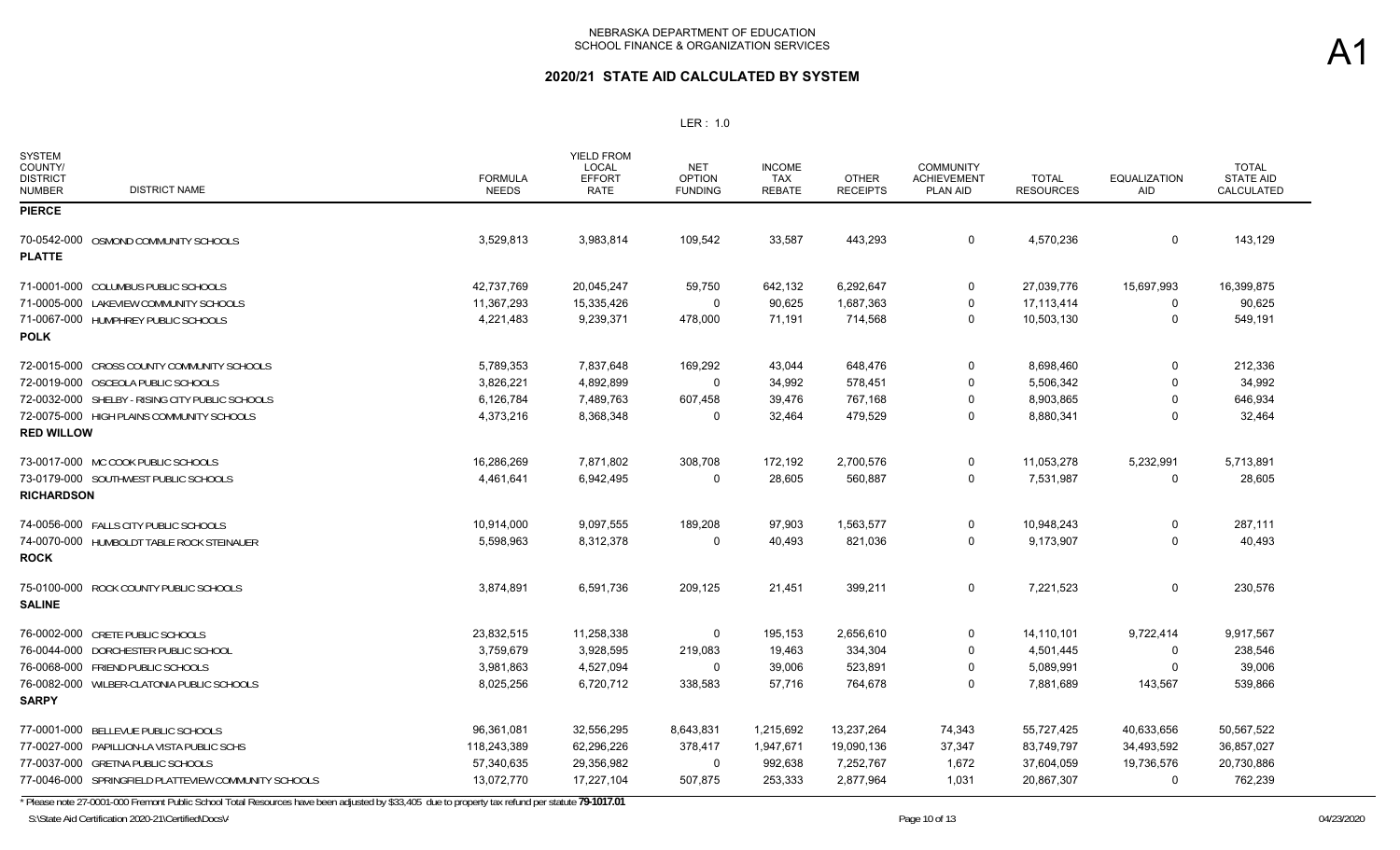### **2020/21 STATE AID CALCULATED BY SYSTEM**

#### LER : 1.0

| <b>SYSTEM</b><br>COUNTY/<br><b>DISTRICT</b><br><b>DISTRICT NAME</b><br><b>NUMBER</b> | <b>FORMULA</b><br><b>NEEDS</b> | <b>YIELD FROM</b><br>LOCAL<br><b>EFFORT</b><br><b>RATE</b> | <b>NET</b><br><b>OPTION</b><br><b>FUNDING</b> | <b>INCOME</b><br>TAX<br><b>REBATE</b> | <b>OTHER</b><br><b>RECEIPTS</b> | <b>COMMUNITY</b><br><b>ACHIEVEMENT</b><br><b>PLAN AID</b> | <b>TOTAL</b><br><b>RESOURCES</b> | <b>EQUALIZATION</b><br><b>AID</b> | <b>TOTAL</b><br><b>STATE AID</b><br>CALCULATED |
|--------------------------------------------------------------------------------------|--------------------------------|------------------------------------------------------------|-----------------------------------------------|---------------------------------------|---------------------------------|-----------------------------------------------------------|----------------------------------|-----------------------------------|------------------------------------------------|
| <b>PIERCE</b>                                                                        |                                |                                                            |                                               |                                       |                                 |                                                           |                                  |                                   |                                                |
| 70-0542-000 OSMOND COMMUNITY SCHOOLS                                                 | 3,529,813                      | 3,983,814                                                  | 109,542                                       | 33,587                                | 443,293                         | $\Omega$                                                  | 4,570,236                        | $\mathbf 0$                       | 143,129                                        |
| <b>PLATTE</b>                                                                        |                                |                                                            |                                               |                                       |                                 |                                                           |                                  |                                   |                                                |
| 71-0001-000 COLUMBUS PUBLIC SCHOOLS                                                  | 42,737,769                     | 20,045,247                                                 | 59,750                                        | 642,132                               | 6,292,647                       | $\mathbf 0$                                               | 27,039,776                       | 15,697,993                        | 16,399,875                                     |
| 71-0005-000 LAKEVIEW COMMUNITY SCHOOLS                                               | 11,367,293                     | 15,335,426                                                 | 0                                             | 90,625                                | 1,687,363                       | 0                                                         | 17,113,414                       | 0                                 | 90,625                                         |
| 71-0067-000 HUMPHREY PUBLIC SCHOOLS<br><b>POLK</b>                                   | 4,221,483                      | 9,239,371                                                  | 478,000                                       | 71,191                                | 714,568                         | $\Omega$                                                  | 10,503,130                       | $\Omega$                          | 549,191                                        |
| 72-0015-000 CROSS COUNTY COMMUNITY SCHOOLS                                           | 5,789,353                      | 7,837,648                                                  | 169,292                                       | 43,044                                | 648,476                         | 0                                                         | 8,698,460                        | $\mathbf 0$                       | 212,336                                        |
| 72-0019-000 OSCEOLA PUBLIC SCHOOLS                                                   | 3,826,221                      | 4,892,899                                                  | $\Omega$                                      | 34,992                                | 578,451                         | $\Omega$                                                  | 5,506,342                        | $\Omega$                          | 34,992                                         |
| 72-0032-000 SHELBY - RISING CITY PUBLIC SCHOOLS                                      | 6,126,784                      | 7,489,763                                                  | 607,458                                       | 39,476                                | 767,168                         | $\mathbf 0$                                               | 8,903,865                        | $\Omega$                          | 646,934                                        |
| 72-0075-000 HIGH PLAINS COMMUNITY SCHOOLS<br><b>RED WILLOW</b>                       | 4,373,216                      | 8,368,348                                                  | $\Omega$                                      | 32,464                                | 479,529                         | 0                                                         | 8,880,341                        | $\Omega$                          | 32,464                                         |
|                                                                                      |                                |                                                            |                                               |                                       |                                 |                                                           |                                  |                                   |                                                |
| 73-0017-000 MC COOK PUBLIC SCHOOLS                                                   | 16,286,269                     | 7,871,802                                                  | 308,708                                       | 172,192                               | 2,700,576                       | 0                                                         | 11,053,278                       | 5,232,991                         | 5,713,891                                      |
| 73-0179-000 SOUTHWEST PUBLIC SCHOOLS<br><b>RICHARDSON</b>                            | 4,461,641                      | 6,942,495                                                  | $\Omega$                                      | 28,605                                | 560,887                         | 0                                                         | 7,531,987                        | $\mathbf 0$                       | 28,605                                         |
| 74-0056-000 FALLS CITY PUBLIC SCHOOLS                                                | 10.914.000                     | 9,097,555                                                  | 189,208                                       | 97.903                                | 1,563,577                       | $\Omega$                                                  | 10,948,243                       | 0                                 | 287,111                                        |
| 74-0070-000 HUMBOLDT TABLE ROCK STEINAUER<br><b>ROCK</b>                             | 5,598,963                      | 8,312,378                                                  | $\Omega$                                      | 40,493                                | 821,036                         | $\Omega$                                                  | 9,173,907                        | $\Omega$                          | 40,493                                         |
| 75-0100-000 ROCK COUNTY PUBLIC SCHOOLS<br><b>SALINE</b>                              | 3,874,891                      | 6,591,736                                                  | 209,125                                       | 21,451                                | 399,211                         | 0                                                         | 7,221,523                        | $\mathbf 0$                       | 230,576                                        |
| 76-0002-000 CRETE PUBLIC SCHOOLS                                                     | 23,832,515                     | 11,258,338                                                 | 0                                             | 195,153                               | 2,656,610                       | $\Omega$                                                  | 14,110,101                       | 9,722,414                         | 9,917,567                                      |
| 76-0044-000 DORCHESTER PUBLIC SCHOOL                                                 | 3,759,679                      | 3,928,595                                                  | 219,083                                       | 19,463                                | 334,304                         | $\Omega$                                                  | 4,501,445                        | 0                                 | 238,546                                        |
| 76-0068-000 FRIEND PUBLIC SCHOOLS                                                    | 3,981,863                      | 4,527,094                                                  | $\Omega$                                      | 39,006                                | 523,891                         | $\Omega$                                                  | 5,089,991                        | 0                                 | 39,006                                         |
| 76-0082-000 WILBER-CLATONIA PUBLIC SCHOOLS<br><b>SARPY</b>                           | 8,025,256                      | 6,720,712                                                  | 338,583                                       | 57,716                                | 764,678                         | 0                                                         | 7,881,689                        | 143,567                           | 539,866                                        |
| 77-0001-000 BELLEVUE PUBLIC SCHOOLS                                                  | 96,361,081                     | 32,556,295                                                 | 8,643,831                                     | 1,215,692                             | 13,237,264                      | 74,343                                                    | 55,727,425                       | 40,633,656                        | 50,567,522                                     |
| 77-0027-000 PAPILLION-LA VISTA PUBLIC SCHS                                           | 118,243,389                    | 62,296,226                                                 | 378,417                                       | 1,947,671                             | 19,090,136                      | 37,347                                                    | 83,749,797                       | 34,493,592                        | 36,857,027                                     |
| 77-0037-000 GRETNA PUBLIC SCHOOLS                                                    | 57,340,635                     | 29,356,982                                                 | $\Omega$                                      | 992,638                               | 7,252,767                       | 1,672                                                     | 37,604,059                       | 19,736,576                        | 20,730,886                                     |
| 77-0046-000 SPRINGFIELD PLATTEVIEW COMMUNITY SCHOOLS                                 | 13,072,770                     | 17,227,104                                                 | 507,875                                       | 253,333                               | 2,877,964                       | 1,031                                                     | 20,867,307                       | $\Omega$                          | 762,239                                        |

\* Please note 27-0001-000 Fremont Public School Total Resources have been adjusted by \$33,405 due to property tax refund per statute **79-1017.01**

S:\State Aid Certification 2020-21\Certified\Docs\/

A1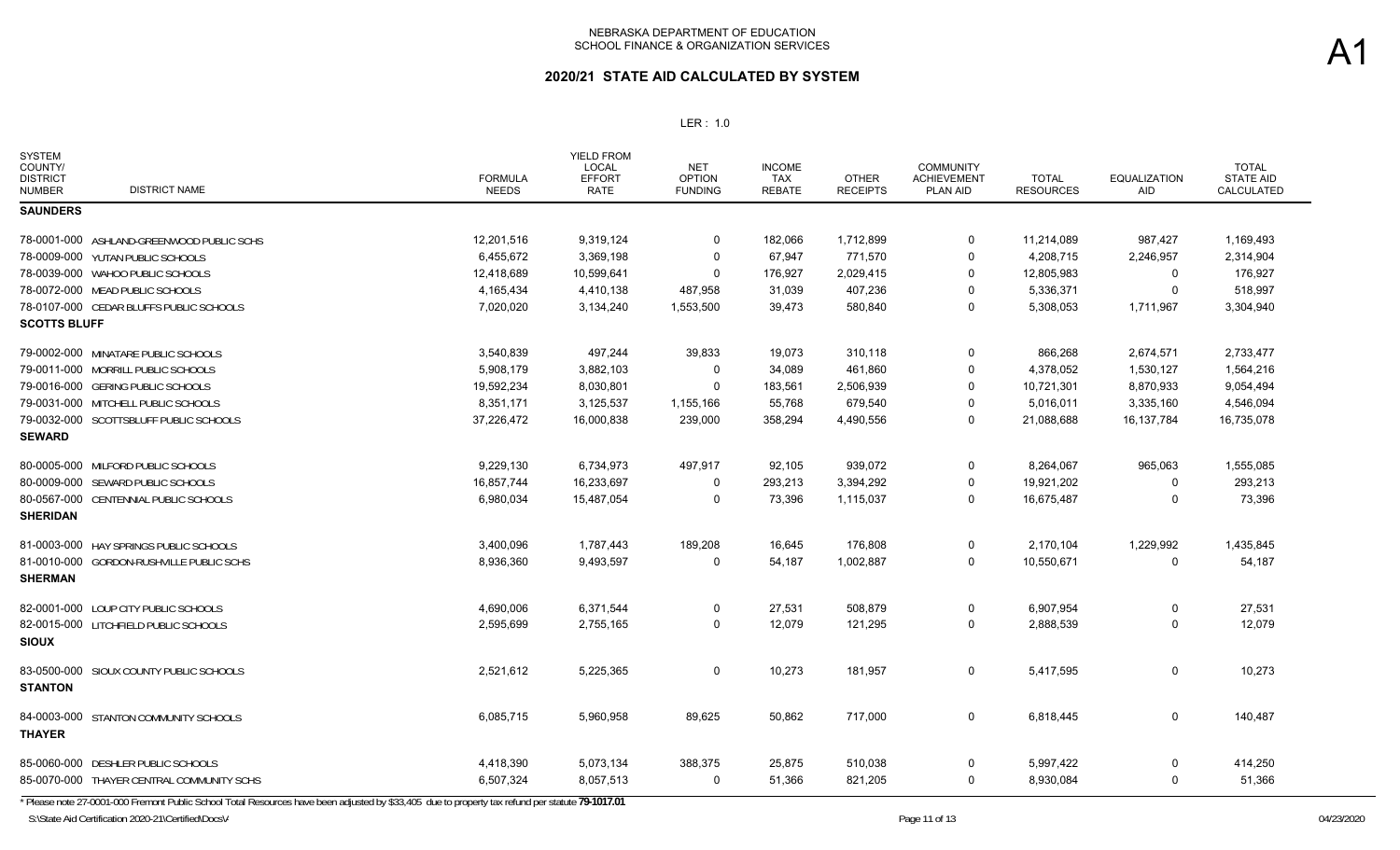| <b>SYSTEM</b><br>COUNTY/<br><b>DISTRICT</b><br><b>DISTRICT NAME</b><br><b>NUMBER</b> | <b>FORMULA</b><br><b>NEEDS</b> | <b>YIELD FROM</b><br>LOCAL<br><b>EFFORT</b><br><b>RATE</b> | <b>NET</b><br><b>OPTION</b><br><b>FUNDING</b> | <b>INCOME</b><br>TAX<br><b>REBATE</b> | <b>OTHER</b><br><b>RECEIPTS</b> | COMMUNITY<br><b>ACHIEVEMENT</b><br>PLAN AID | <b>TOTAL</b><br><b>RESOURCES</b> | <b>EQUALIZATION</b><br>AID | <b>TOTAL</b><br><b>STATE AID</b><br>CALCULATED |
|--------------------------------------------------------------------------------------|--------------------------------|------------------------------------------------------------|-----------------------------------------------|---------------------------------------|---------------------------------|---------------------------------------------|----------------------------------|----------------------------|------------------------------------------------|
| <b>SAUNDERS</b>                                                                      |                                |                                                            |                                               |                                       |                                 |                                             |                                  |                            |                                                |
| 78-0001-000 ASHLAND-GREENWOOD PUBLIC SCHS                                            | 12,201,516                     | 9,319,124                                                  | 0                                             | 182,066                               | 1,712,899                       | 0                                           | 11,214,089                       | 987,427                    | 1,169,493                                      |
| 78-0009-000 YUTAN PUBLIC SCHOOLS                                                     | 6,455,672                      | 3,369,198                                                  | 0                                             | 67,947                                | 771,570                         | 0                                           | 4,208,715                        | 2,246,957                  | 2,314,904                                      |
| 78-0039-000 WAHOO PUBLIC SCHOOLS                                                     | 12,418,689                     | 10,599,641                                                 | $\mathbf 0$                                   | 176,927                               | 2,029,415                       | 0                                           | 12,805,983                       | 0                          | 176,927                                        |
| 78-0072-000 MEAD PUBLIC SCHOOLS                                                      | 4,165,434                      | 4,410,138                                                  | 487,958                                       | 31,039                                | 407,236                         | 0                                           | 5,336,371                        | 0                          | 518,997                                        |
| 78-0107-000 CEDAR BLUFFS PUBLIC SCHOOLS                                              | 7,020,020                      | 3,134,240                                                  | 1,553,500                                     | 39,473                                | 580,840                         | 0                                           | 5,308,053                        | 1,711,967                  | 3,304,940                                      |
| <b>SCOTTS BLUFF</b>                                                                  |                                |                                                            |                                               |                                       |                                 |                                             |                                  |                            |                                                |
| 79-0002-000 MINATARE PUBLIC SCHOOLS                                                  | 3,540,839                      | 497,244                                                    | 39,833                                        | 19,073                                | 310,118                         | 0                                           | 866,268                          | 2,674,571                  | 2,733,477                                      |
| 79-0011-000 MORRILL PUBLIC SCHOOLS                                                   | 5.908.179                      | 3,882,103                                                  | $\mathbf 0$                                   | 34,089                                | 461,860                         | 0                                           | 4,378,052                        | 1,530,127                  | 1,564,216                                      |
| 79-0016-000 GERING PUBLIC SCHOOLS                                                    | 19,592,234                     | 8,030,801                                                  | $\Omega$                                      | 183,561                               | 2,506,939                       | 0                                           | 10,721,301                       | 8,870,933                  | 9,054,494                                      |
| 79-0031-000 MITCHELL PUBLIC SCHOOLS                                                  | 8,351,171                      | 3,125,537                                                  | 1,155,166                                     | 55,768                                | 679,540                         | 0                                           | 5,016,011                        | 3,335,160                  | 4,546,094                                      |
| 79-0032-000 SCOTTSBLUFF PUBLIC SCHOOLS                                               | 37,226,472                     | 16,000,838                                                 | 239,000                                       | 358,294                               | 4,490,556                       | 0                                           | 21,088,688                       | 16,137,784                 | 16,735,078                                     |
| <b>SEWARD</b>                                                                        |                                |                                                            |                                               |                                       |                                 |                                             |                                  |                            |                                                |
| 80-0005-000 MILFORD PUBLIC SCHOOLS                                                   | 9,229,130                      | 6,734,973                                                  | 497,917                                       | 92,105                                | 939,072                         | 0                                           | 8,264,067                        | 965,063                    | 1,555,085                                      |
| 80-0009-000 SEWARD PUBLIC SCHOOLS                                                    | 16,857,744                     | 16,233,697                                                 | 0                                             | 293,213                               | 3,394,292                       | 0                                           | 19,921,202                       | 0                          | 293,213                                        |
| 80-0567-000 CENTENNIAL PUBLIC SCHOOLS                                                | 6,980,034                      | 15,487,054                                                 | $\mathbf 0$                                   | 73,396                                | 1,115,037                       | 0                                           | 16,675,487                       | $\mathbf{0}$               | 73,396                                         |
| <b>SHERIDAN</b>                                                                      |                                |                                                            |                                               |                                       |                                 |                                             |                                  |                            |                                                |
| 81-0003-000 HAY SPRINGS PUBLIC SCHOOLS                                               | 3,400,096                      | 1,787,443                                                  | 189,208                                       | 16.645                                | 176,808                         | 0                                           | 2,170,104                        | 1,229,992                  | 1,435,845                                      |
| 81-0010-000 GORDON-RUSHVILLE PUBLIC SCHS<br><b>SHERMAN</b>                           | 8,936,360                      | 9,493,597                                                  | $\Omega$                                      | 54,187                                | 1,002,887                       | 0                                           | 10,550,671                       | 0                          | 54,187                                         |
| 82-0001-000 LOUP CITY PUBLIC SCHOOLS                                                 | 4,690,006                      | 6,371,544                                                  | 0                                             | 27,531                                | 508,879                         | 0                                           | 6,907,954                        | 0                          | 27,531                                         |
| 82-0015-000 LITCHFIELD PUBLIC SCHOOLS<br><b>SIOUX</b>                                | 2,595,699                      | 2,755,165                                                  | $\mathbf 0$                                   | 12,079                                | 121,295                         | 0                                           | 2,888,539                        | 0                          | 12,079                                         |
| 83-0500-000 SIOUX COUNTY PUBLIC SCHOOLS<br><b>STANTON</b>                            | 2,521,612                      | 5,225,365                                                  | $\mathbf 0$                                   | 10,273                                | 181,957                         | 0                                           | 5,417,595                        | 0                          | 10,273                                         |
| 84-0003-000 STANTON COMMUNITY SCHOOLS<br><b>THAYER</b>                               | 6,085,715                      | 5,960,958                                                  | 89,625                                        | 50,862                                | 717,000                         | 0                                           | 6,818,445                        | 0                          | 140,487                                        |
| 85-0060-000 DESHLER PUBLIC SCHOOLS                                                   | 4,418,390                      | 5,073,134                                                  | 388,375                                       | 25,875                                | 510,038                         | 0                                           | 5,997,422                        | 0                          | 414,250                                        |
| 85-0070-000 THAYER CENTRAL COMMUNITY SCHS                                            | 6,507,324                      | 8,057,513                                                  | 0                                             | 51,366                                | 821,205                         | 0                                           | 8,930,084                        | 0                          | 51,366                                         |
|                                                                                      |                                |                                                            |                                               |                                       |                                 |                                             |                                  |                            |                                                |

\* Please note 27-0001-000 Fremont Public School Total Resources have been adjusted by \$33,405 due to property tax refund per statute **79-1017.01**

S:\State Aid Certification 2020-21\Certified\Docs\/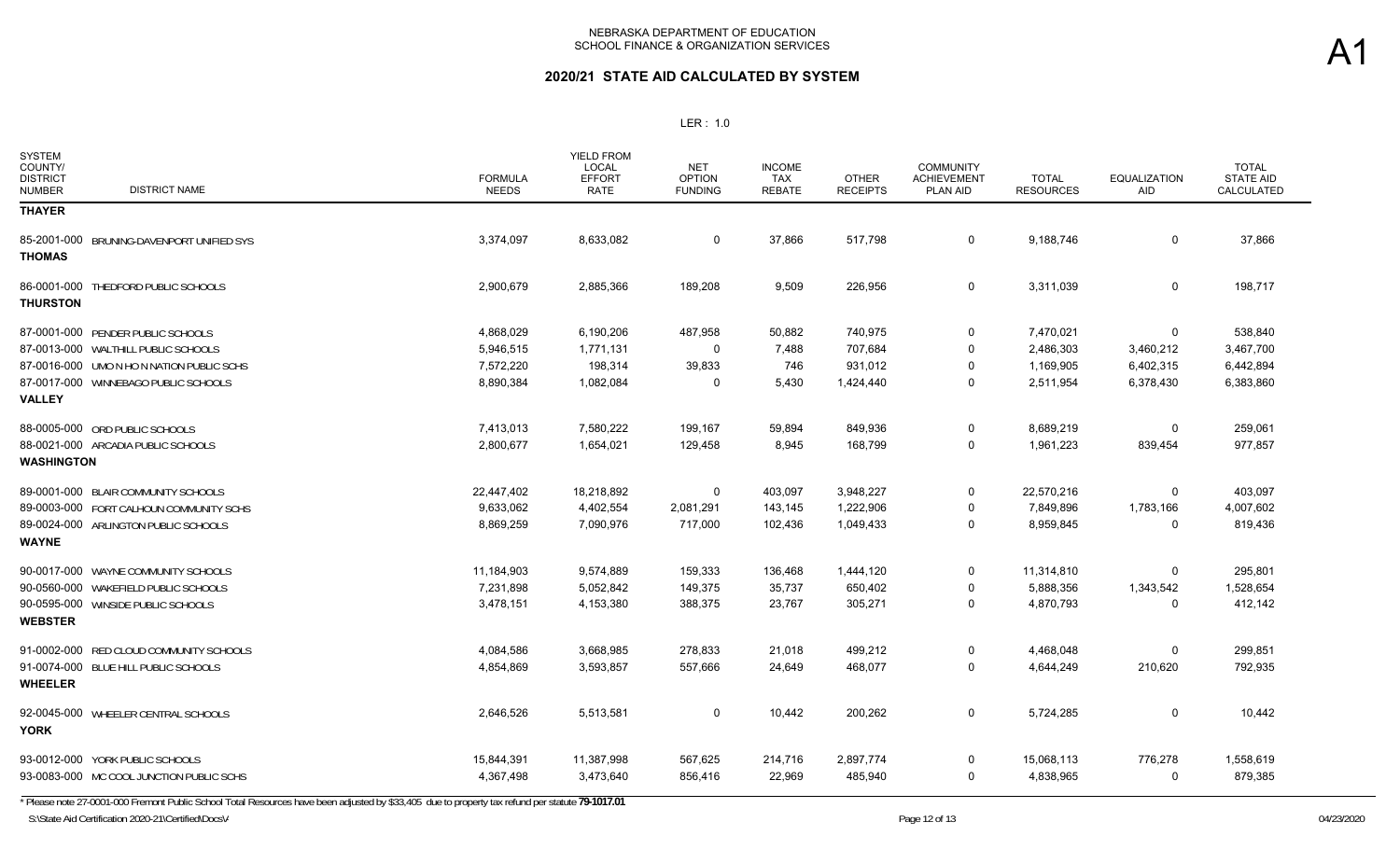#### LER : 1.0

| <b>SYSTEM</b><br>COUNTY/<br><b>DISTRICT</b><br><b>DISTRICT NAME</b><br><b>NUMBER</b> | <b>FORMULA</b><br><b>NEEDS</b> | <b>YIELD FROM</b><br><b>LOCAL</b><br><b>EFFORT</b><br>RATE | <b>NET</b><br><b>OPTION</b><br><b>FUNDING</b> | <b>INCOME</b><br><b>TAX</b><br><b>REBATE</b> | <b>OTHER</b><br><b>RECEIPTS</b> | <b>COMMUNITY</b><br><b>ACHIEVEMENT</b><br><b>PLAN AID</b> | <b>TOTAL</b><br><b>RESOURCES</b> | <b>EQUALIZATION</b><br>AID | <b>TOTAL</b><br><b>STATE AID</b><br>CALCULATED |
|--------------------------------------------------------------------------------------|--------------------------------|------------------------------------------------------------|-----------------------------------------------|----------------------------------------------|---------------------------------|-----------------------------------------------------------|----------------------------------|----------------------------|------------------------------------------------|
| <b>THAYER</b>                                                                        |                                |                                                            |                                               |                                              |                                 |                                                           |                                  |                            |                                                |
| 85-2001-000<br>BRUNING-DAVENPORT UNIFIED SYS<br><b>THOMAS</b>                        | 3,374,097                      | 8,633,082                                                  | 0                                             | 37,866                                       | 517,798                         | 0                                                         | 9,188,746                        | $\mathbf 0$                | 37,866                                         |
| 86-0001-000 THEDFORD PUBLIC SCHOOLS<br><b>THURSTON</b>                               | 2,900,679                      | 2,885,366                                                  | 189,208                                       | 9,509                                        | 226,956                         | 0                                                         | 3,311,039                        | 0                          | 198,717                                        |
| 87-0001-000 PENDER PUBLIC SCHOOLS                                                    | 4,868,029                      | 6,190,206                                                  | 487,958                                       | 50,882                                       | 740,975                         | 0                                                         | 7,470,021                        | $\Omega$                   | 538,840                                        |
| 87-0013-000 WALTHILL PUBLIC SCHOOLS                                                  | 5,946,515                      | 1,771,131                                                  | 0                                             | 7,488                                        | 707,684                         | 0                                                         | 2,486,303                        | 3,460,212                  | 3,467,700                                      |
| 87-0016-000 UMO N HO N NATION PUBLIC SCHS                                            | 7,572,220                      | 198,314                                                    | 39,833                                        | 746                                          | 931,012                         | $\Omega$                                                  | 1,169,905                        | 6,402,315                  | 6,442,894                                      |
| 87-0017-000 WINNEBAGO PUBLIC SCHOOLS<br><b>VALLEY</b>                                | 8,890,384                      | 1,082,084                                                  | 0                                             | 5,430                                        | 1,424,440                       | 0                                                         | 2,511,954                        | 6,378,430                  | 6,383,860                                      |
| 88-0005-000 ORD PUBLIC SCHOOLS                                                       | 7,413,013                      | 7,580,222                                                  | 199,167                                       | 59,894                                       | 849,936                         | 0                                                         | 8,689,219                        | $\Omega$                   | 259,061                                        |
| 88-0021-000 ARCADIA PUBLIC SCHOOLS<br><b>WASHINGTON</b>                              | 2,800,677                      | 1,654,021                                                  | 129,458                                       | 8,945                                        | 168,799                         | 0                                                         | 1,961,223                        | 839,454                    | 977,857                                        |
| 89-0001-000 BLAIR COMMUNITY SCHOOLS                                                  | 22,447,402                     | 18,218,892                                                 | 0                                             | 403,097                                      | 3,948,227                       | 0                                                         | 22,570,216                       | 0                          | 403,097                                        |
| 89-0003-000 FORT CALHOUN COMMUNITY SCHS                                              | 9,633,062                      | 4,402,554                                                  | 2,081,291                                     | 143,145                                      | 1,222,906                       | 0                                                         | 7,849,896                        | 1,783,166                  | 4,007,602                                      |
| 89-0024-000 ARLINGTON PUBLIC SCHOOLS<br><b>WAYNE</b>                                 | 8,869,259                      | 7,090,976                                                  | 717,000                                       | 102,436                                      | 1,049,433                       | $\Omega$                                                  | 8,959,845                        | $\Omega$                   | 819,436                                        |
| 90-0017-000 WAYNE COMMUNITY SCHOOLS                                                  | 11,184,903                     | 9,574,889                                                  | 159,333                                       | 136,468                                      | 1,444,120                       | 0                                                         | 11,314,810                       | 0                          | 295,801                                        |
| 90-0560-000 WAKEFIELD PUBLIC SCHOOLS                                                 | 7,231,898                      | 5,052,842                                                  | 149,375                                       | 35,737                                       | 650,402                         | $\Omega$                                                  | 5,888,356                        | 1,343,542                  | 1,528,654                                      |
| 90-0595-000 WINSIDE PUBLIC SCHOOLS<br><b>WEBSTER</b>                                 | 3,478,151                      | 4,153,380                                                  | 388,375                                       | 23,767                                       | 305,271                         | 0                                                         | 4,870,793                        | 0                          | 412,142                                        |
| RED CLOUD COMMUNITY SCHOOLS<br>91-0002-000                                           | 4,084,586                      | 3,668,985                                                  | 278,833                                       | 21,018                                       | 499,212                         | 0                                                         | 4,468,048                        | $\Omega$                   | 299,851                                        |
| 91-0074-000 BLUE HILL PUBLIC SCHOOLS<br><b>WHEELER</b>                               | 4,854,869                      | 3,593,857                                                  | 557,666                                       | 24,649                                       | 468,077                         | 0                                                         | 4,644,249                        | 210,620                    | 792,935                                        |
| 92-0045-000 WHEELER CENTRAL SCHOOLS<br><b>YORK</b>                                   | 2,646,526                      | 5,513,581                                                  | 0                                             | 10,442                                       | 200,262                         | 0                                                         | 5,724,285                        | 0                          | 10,442                                         |
| 93-0012-000 YORK PUBLIC SCHOOLS                                                      | 15,844,391                     | 11,387,998                                                 | 567,625                                       | 214,716                                      | 2,897,774                       | 0                                                         | 15,068,113                       | 776,278                    | 1,558,619                                      |
| 93-0083-000 MC COOL JUNCTION PUBLIC SCHS                                             | 4,367,498                      | 3,473,640                                                  | 856,416                                       | 22,969                                       | 485,940                         | $\Omega$                                                  | 4,838,965                        | $\Omega$                   | 879,385                                        |

\* Please note 27-0001-000 Fremont Public School Total Resources have been adjusted by \$33,405 due to property tax refund per statute **79-1017.01**

S:\State Aid Certification 2020-21\Certified\Docs\/